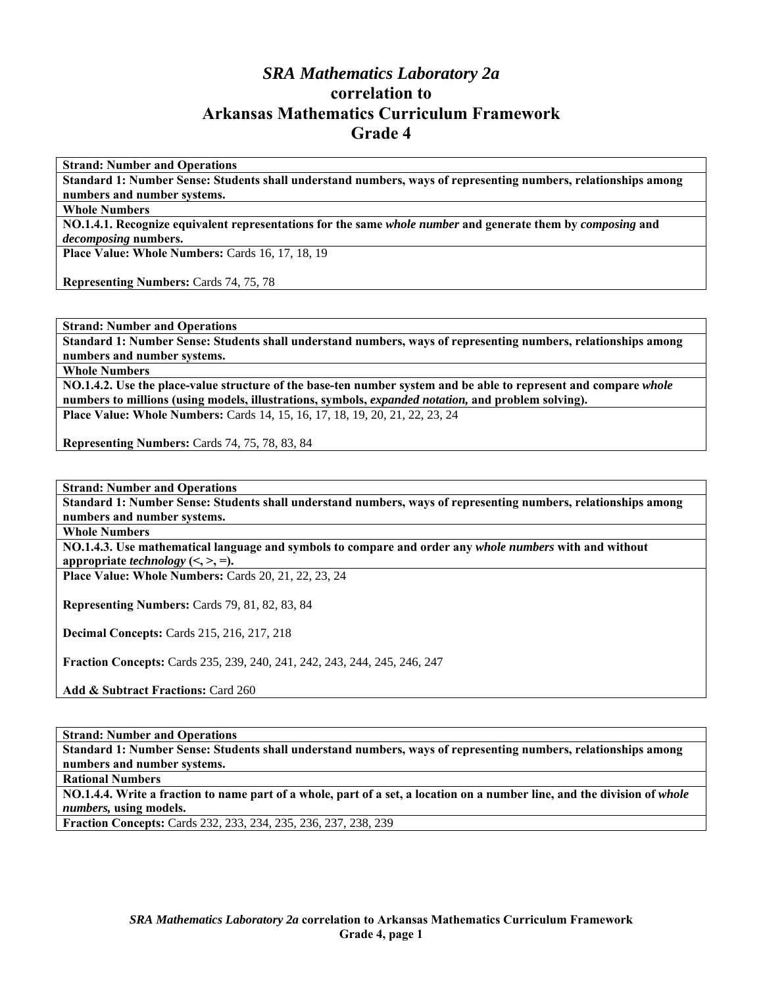# *SRA Mathematics Laboratory 2a*  **correlation to Arkansas Mathematics Curriculum Framework Grade 4**

**Strand: Number and Operations** 

**Standard 1: Number Sense: Students shall understand numbers, ways of representing numbers, relationships among numbers and number systems.** 

**Whole Numbers** 

**NO.1.4.1. Recognize equivalent representations for the same** *whole number* **and generate them by** *composing* **and**  *decomposing* **numbers.** 

Place Value: Whole Numbers: Cards 16, 17, 18, 19

**Representing Numbers:** Cards 74, 75, 78

**Strand: Number and Operations** 

**Standard 1: Number Sense: Students shall understand numbers, ways of representing numbers, relationships among numbers and number systems.** 

**Whole Numbers** 

**NO.1.4.2. Use the place-value structure of the base-ten number system and be able to represent and compare** *whole*  **numbers to millions (using models, illustrations, symbols,** *expanded notation,* **and problem solving). Place Value: Whole Numbers:** Cards 14, 15, 16, 17, 18, 19, 20, 21, 22, 23, 24

**Representing Numbers:** Cards 74, 75, 78, 83, 84

**Strand: Number and Operations** 

**Standard 1: Number Sense: Students shall understand numbers, ways of representing numbers, relationships among numbers and number systems.** 

**Whole Numbers** 

**NO.1.4.3. Use mathematical language and symbols to compare and order any** *whole numbers* **with and without**  appropriate *technology*  $(<, >, =)$ .

**Place Value: Whole Numbers:** Cards 20, 21, 22, 23, 24

**Representing Numbers:** Cards 79, 81, 82, 83, 84

**Decimal Concepts:** Cards 215, 216, 217, 218

**Fraction Concepts:** Cards 235, 239, 240, 241, 242, 243, 244, 245, 246, 247

**Add & Subtract Fractions:** Card 260

#### **Strand: Number and Operations**

**Standard 1: Number Sense: Students shall understand numbers, ways of representing numbers, relationships among numbers and number systems.** 

**Rational Numbers** 

**NO.1.4.4. Write a fraction to name part of a whole, part of a set, a location on a number line, and the division of** *whole numbers,* **using models.** 

**Fraction Concepts:** Cards 232, 233, 234, 235, 236, 237, 238, 239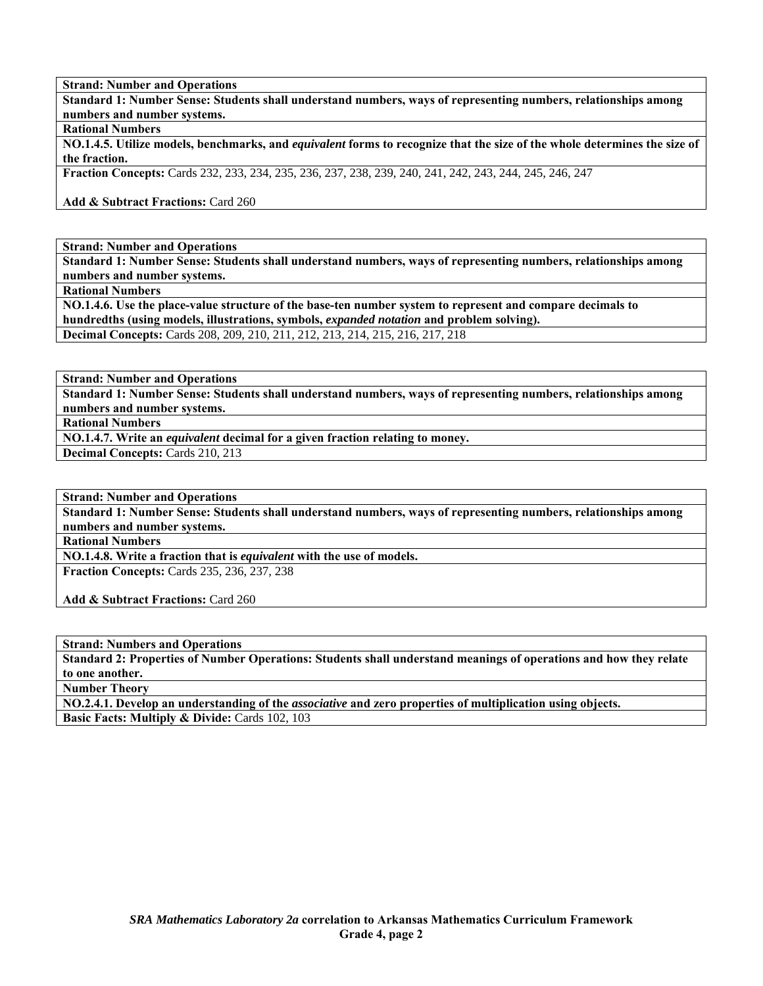**Standard 1: Number Sense: Students shall understand numbers, ways of representing numbers, relationships among numbers and number systems.** 

### **Rational Numbers**

**NO.1.4.5. Utilize models, benchmarks, and** *equivalent* **forms to recognize that the size of the whole determines the size of the fraction.** 

**Fraction Concepts:** Cards 232, 233, 234, 235, 236, 237, 238, 239, 240, 241, 242, 243, 244, 245, 246, 247

**Add & Subtract Fractions:** Card 260

**Strand: Number and Operations** 

**Standard 1: Number Sense: Students shall understand numbers, ways of representing numbers, relationships among numbers and number systems.** 

**Rational Numbers** 

**NO.1.4.6. Use the place-value structure of the base-ten number system to represent and compare decimals to hundredths (using models, illustrations, symbols,** *expanded notation* **and problem solving). Decimal Concepts:** Cards 208, 209, 210, 211, 212, 213, 214, 215, 216, 217, 218

**Strand: Number and Operations** 

**Standard 1: Number Sense: Students shall understand numbers, ways of representing numbers, relationships among numbers and number systems.** 

**Rational Numbers** 

**NO.1.4.7. Write an** *equivalent* **decimal for a given fraction relating to money.** 

**Decimal Concepts:** Cards 210, 213

**Strand: Number and Operations** 

**Standard 1: Number Sense: Students shall understand numbers, ways of representing numbers, relationships among numbers and number systems.** 

**Rational Numbers** 

**NO.1.4.8. Write a fraction that is** *equivalent* **with the use of models.** 

**Fraction Concepts:** Cards 235, 236, 237, 238

**Add & Subtract Fractions:** Card 260

**Strand: Numbers and Operations** 

**Standard 2: Properties of Number Operations: Students shall understand meanings of operations and how they relate to one another.** 

**Number Theory** 

**NO.2.4.1. Develop an understanding of the** *associative* **and zero properties of multiplication using objects. Basic Facts: Multiply & Divide: Cards 102, 103**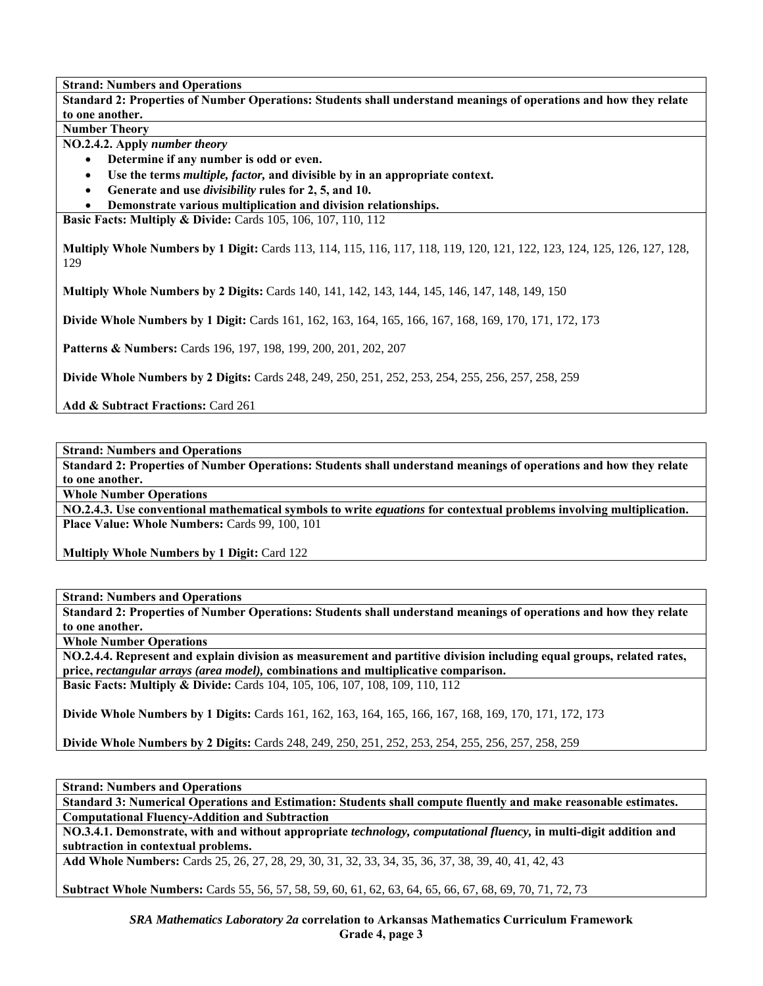**Standard 2: Properties of Number Operations: Students shall understand meanings of operations and how they relate to one another.** 

**Number Theory** 

**NO.2.4.2. Apply** *number theory* 

- **Determine if any number is odd or even.**
- **Use the terms** *multiple, factor,* **and divisible by in an appropriate context.**
- **Generate and use** *divisibility* **rules for 2, 5, and 10.**
- **Demonstrate various multiplication and division relationships.**

**Basic Facts: Multiply & Divide: Cards 105, 106, 107, 110, 112** 

**Multiply Whole Numbers by 1 Digit:** Cards 113, 114, 115, 116, 117, 118, 119, 120, 121, 122, 123, 124, 125, 126, 127, 128, 129

**Multiply Whole Numbers by 2 Digits:** Cards 140, 141, 142, 143, 144, 145, 146, 147, 148, 149, 150

**Divide Whole Numbers by 1 Digit:** Cards 161, 162, 163, 164, 165, 166, 167, 168, 169, 170, 171, 172, 173

**Patterns & Numbers:** Cards 196, 197, 198, 199, 200, 201, 202, 207

**Divide Whole Numbers by 2 Digits:** Cards 248, 249, 250, 251, 252, 253, 254, 255, 256, 257, 258, 259

**Add & Subtract Fractions:** Card 261

**Strand: Numbers and Operations** 

**Standard 2: Properties of Number Operations: Students shall understand meanings of operations and how they relate to one another.** 

**Whole Number Operations** 

**NO.2.4.3. Use conventional mathematical symbols to write** *equations* **for contextual problems involving multiplication. Place Value: Whole Numbers:** Cards 99, 100, 101

**Multiply Whole Numbers by 1 Digit:** Card 122

**Strand: Numbers and Operations** 

**Standard 2: Properties of Number Operations: Students shall understand meanings of operations and how they relate to one another.** 

**Whole Number Operations** 

**NO.2.4.4. Represent and explain division as measurement and partitive division including equal groups, related rates, price,** *rectangular arrays (area model),* **combinations and multiplicative comparison. Basic Facts: Multiply & Divide:** Cards 104, 105, 106, 107, 108, 109, 110, 112

**Divide Whole Numbers by 1 Digits:** Cards 161, 162, 163, 164, 165, 166, 167, 168, 169, 170, 171, 172, 173

**Divide Whole Numbers by 2 Digits:** Cards 248, 249, 250, 251, 252, 253, 254, 255, 256, 257, 258, 259

**Strand: Numbers and Operations** 

**Standard 3: Numerical Operations and Estimation: Students shall compute fluently and make reasonable estimates. Computational Fluency-Addition and Subtraction** 

**NO.3.4.1. Demonstrate, with and without appropriate** *technology, computational fluency,* **in multi-digit addition and subtraction in contextual problems.** 

**Add Whole Numbers:** Cards 25, 26, 27, 28, 29, 30, 31, 32, 33, 34, 35, 36, 37, 38, 39, 40, 41, 42, 43

**Subtract Whole Numbers:** Cards 55, 56, 57, 58, 59, 60, 61, 62, 63, 64, 65, 66, 67, 68, 69, 70, 71, 72, 73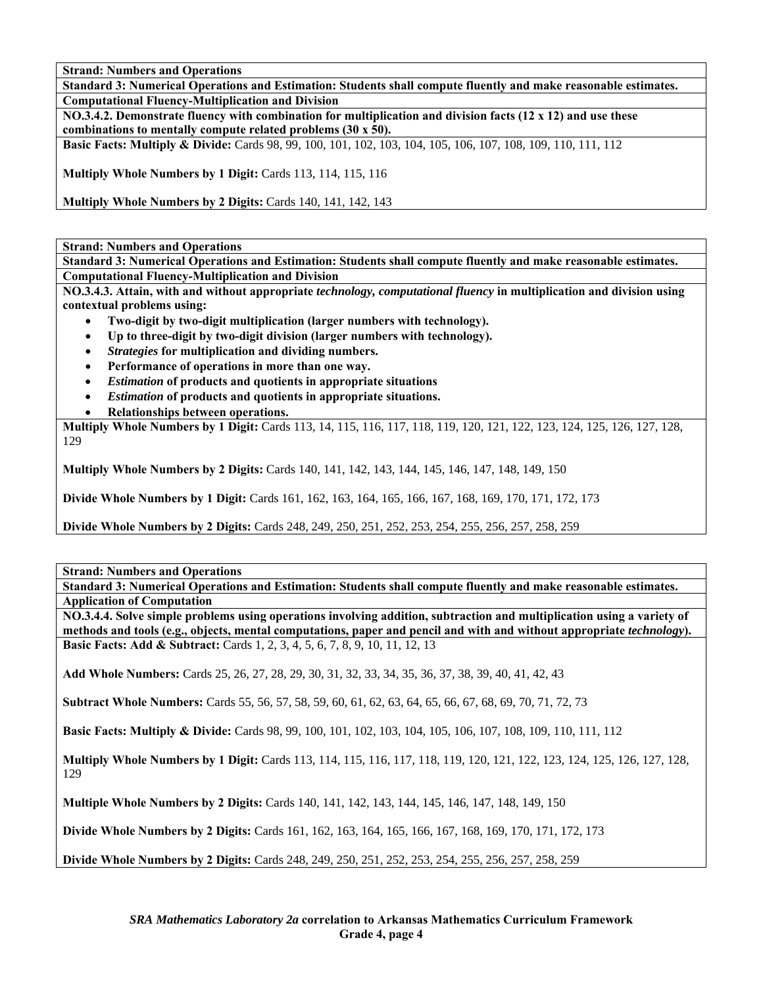**Standard 3: Numerical Operations and Estimation: Students shall compute fluently and make reasonable estimates. Computational Fluency-Multiplication and Division** 

**NO.3.4.2. Demonstrate fluency with combination for multiplication and division facts (12 x 12) and use these combinations to mentally compute related problems (30 x 50).** 

**Basic Facts: Multiply & Divide:** Cards 98, 99, 100, 101, 102, 103, 104, 105, 106, 107, 108, 109, 110, 111, 112

**Multiply Whole Numbers by 1 Digit:** Cards 113, 114, 115, 116

**Multiply Whole Numbers by 2 Digits:** Cards 140, 141, 142, 143

**Strand: Numbers and Operations** 

**Standard 3: Numerical Operations and Estimation: Students shall compute fluently and make reasonable estimates. Computational Fluency-Multiplication and Division** 

**NO.3.4.3. Attain, with and without appropriate** *technology, computational fluency* **in multiplication and division using contextual problems using:** 

- **Two-digit by two-digit multiplication (larger numbers with technology).**
- **Up to three-digit by two-digit division (larger numbers with technology).**
- *Strategies* **for multiplication and dividing numbers.**
- **Performance of operations in more than one way.**
- *Estimation* **of products and quotients in appropriate situations**
- *Estimation* **of products and quotients in appropriate situations.**
- **Relationships between operations.**

**Multiply Whole Numbers by 1 Digit:** Cards 113, 14, 115, 116, 117, 118, 119, 120, 121, 122, 123, 124, 125, 126, 127, 128, 129

**Multiply Whole Numbers by 2 Digits:** Cards 140, 141, 142, 143, 144, 145, 146, 147, 148, 149, 150

**Divide Whole Numbers by 1 Digit:** Cards 161, 162, 163, 164, 165, 166, 167, 168, 169, 170, 171, 172, 173

**Divide Whole Numbers by 2 Digits:** Cards 248, 249, 250, 251, 252, 253, 254, 255, 256, 257, 258, 259

**Strand: Numbers and Operations** 

**Standard 3: Numerical Operations and Estimation: Students shall compute fluently and make reasonable estimates. Application of Computation** 

**NO.3.4.4. Solve simple problems using operations involving addition, subtraction and multiplication using a variety of methods and tools (e.g., objects, mental computations, paper and pencil and with and without appropriate** *technology***). Basic Facts: Add & Subtract:** Cards 1, 2, 3, 4, 5, 6, 7, 8, 9, 10, 11, 12, 13

**Add Whole Numbers:** Cards 25, 26, 27, 28, 29, 30, 31, 32, 33, 34, 35, 36, 37, 38, 39, 40, 41, 42, 43

**Subtract Whole Numbers:** Cards 55, 56, 57, 58, 59, 60, 61, 62, 63, 64, 65, 66, 67, 68, 69, 70, 71, 72, 73

**Basic Facts: Multiply & Divide:** Cards 98, 99, 100, 101, 102, 103, 104, 105, 106, 107, 108, 109, 110, 111, 112

**Multiply Whole Numbers by 1 Digit:** Cards 113, 114, 115, 116, 117, 118, 119, 120, 121, 122, 123, 124, 125, 126, 127, 128, 129

**Multiple Whole Numbers by 2 Digits:** Cards 140, 141, 142, 143, 144, 145, 146, 147, 148, 149, 150

**Divide Whole Numbers by 2 Digits:** Cards 161, 162, 163, 164, 165, 166, 167, 168, 169, 170, 171, 172, 173

**Divide Whole Numbers by 2 Digits:** Cards 248, 249, 250, 251, 252, 253, 254, 255, 256, 257, 258, 259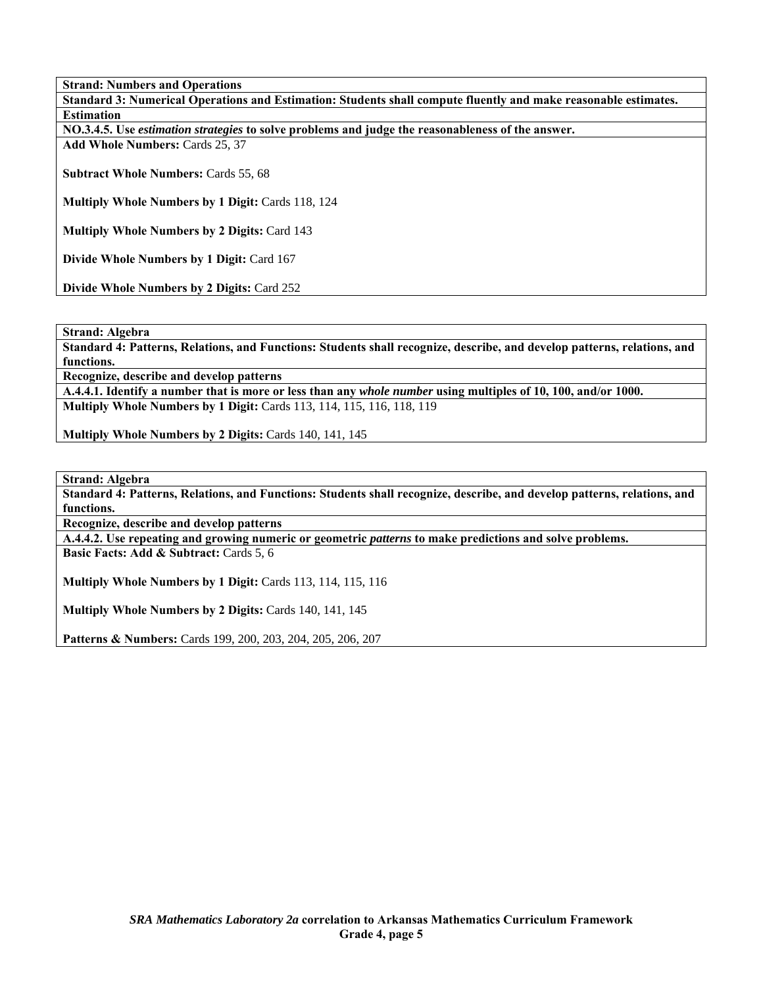**Strand: Numbers and Operations Standard 3: Numerical Operations and Estimation: Students shall compute fluently and make reasonable estimates. Estimation NO.3.4.5. Use** *estimation strategies* **to solve problems and judge the reasonableness of the answer. Add Whole Numbers:** Cards 25, 37 **Subtract Whole Numbers:** Cards 55, 68 **Multiply Whole Numbers by 1 Digit:** Cards 118, 124 **Multiply Whole Numbers by 2 Digits:** Card 143 **Divide Whole Numbers by 1 Digit:** Card 167

**Divide Whole Numbers by 2 Digits:** Card 252

**Strand: Algebra** 

**Standard 4: Patterns, Relations, and Functions: Students shall recognize, describe, and develop patterns, relations, and functions.** 

**Recognize, describe and develop patterns** 

**A.4.4.1. Identify a number that is more or less than any** *whole number* **using multiples of 10, 100, and/or 1000. Multiply Whole Numbers by 1 Digit:** Cards 113, 114, 115, 116, 118, 119

**Multiply Whole Numbers by 2 Digits:** Cards 140, 141, 145

**Strand: Algebra** 

**Standard 4: Patterns, Relations, and Functions: Students shall recognize, describe, and develop patterns, relations, and functions.** 

**Recognize, describe and develop patterns** 

**A.4.4.2. Use repeating and growing numeric or geometric** *patterns* **to make predictions and solve problems.** 

**Basic Facts: Add & Subtract:** Cards 5, 6

**Multiply Whole Numbers by 1 Digit:** Cards 113, 114, 115, 116

**Multiply Whole Numbers by 2 Digits:** Cards 140, 141, 145

**Patterns & Numbers:** Cards 199, 200, 203, 204, 205, 206, 207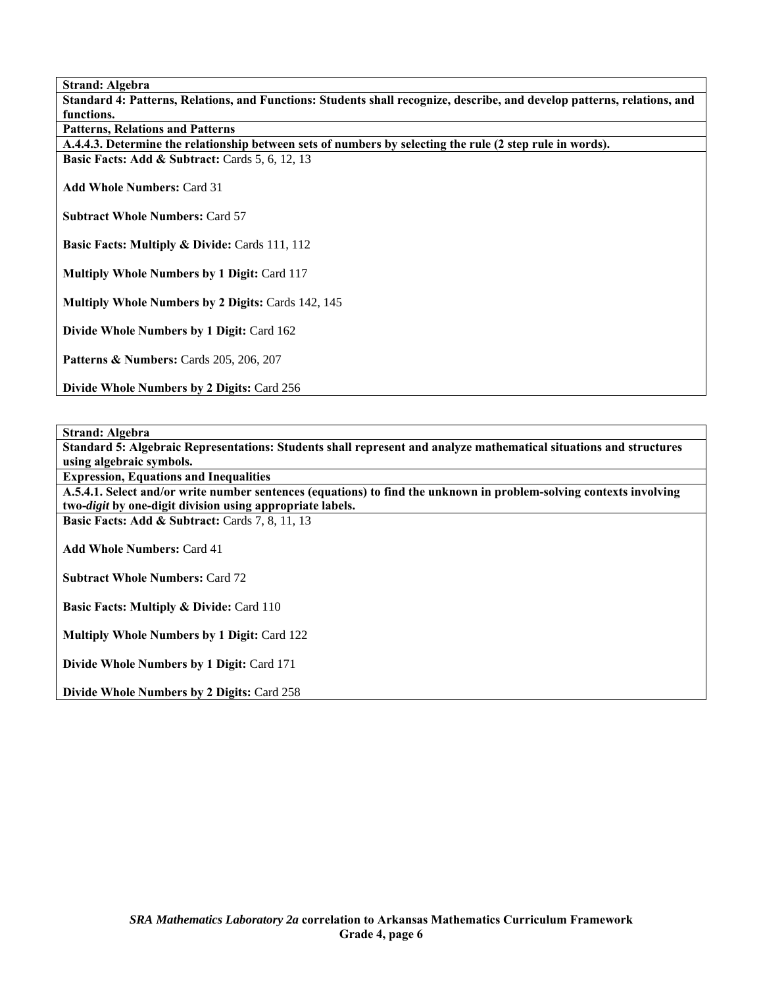**Strand: Algebra** 

**Standard 4: Patterns, Relations, and Functions: Students shall recognize, describe, and develop patterns, relations, and functions.** 

**Patterns, Relations and Patterns** 

**A.4.4.3. Determine the relationship between sets of numbers by selecting the rule (2 step rule in words). Basic Facts: Add & Subtract: Cards 5, 6, 12, 13** 

**Add Whole Numbers:** Card 31

**Subtract Whole Numbers:** Card 57

**Basic Facts: Multiply & Divide: Cards 111, 112** 

**Multiply Whole Numbers by 1 Digit:** Card 117

**Multiply Whole Numbers by 2 Digits:** Cards 142, 145

**Divide Whole Numbers by 1 Digit:** Card 162

**Patterns & Numbers:** Cards 205, 206, 207

**Divide Whole Numbers by 2 Digits:** Card 256

**Strand: Algebra** 

**Standard 5: Algebraic Representations: Students shall represent and analyze mathematical situations and structures using algebraic symbols.** 

**Expression, Equations and Inequalities** 

**A.5.4.1. Select and/or write number sentences (equations) to find the unknown in problem-solving contexts involving two-***digit* **by one-digit division using appropriate labels.** 

**Basic Facts: Add & Subtract: Cards 7, 8, 11, 13** 

**Add Whole Numbers:** Card 41

**Subtract Whole Numbers:** Card 72

**Basic Facts: Multiply & Divide: Card 110** 

**Multiply Whole Numbers by 1 Digit:** Card 122

**Divide Whole Numbers by 1 Digit:** Card 171

**Divide Whole Numbers by 2 Digits:** Card 258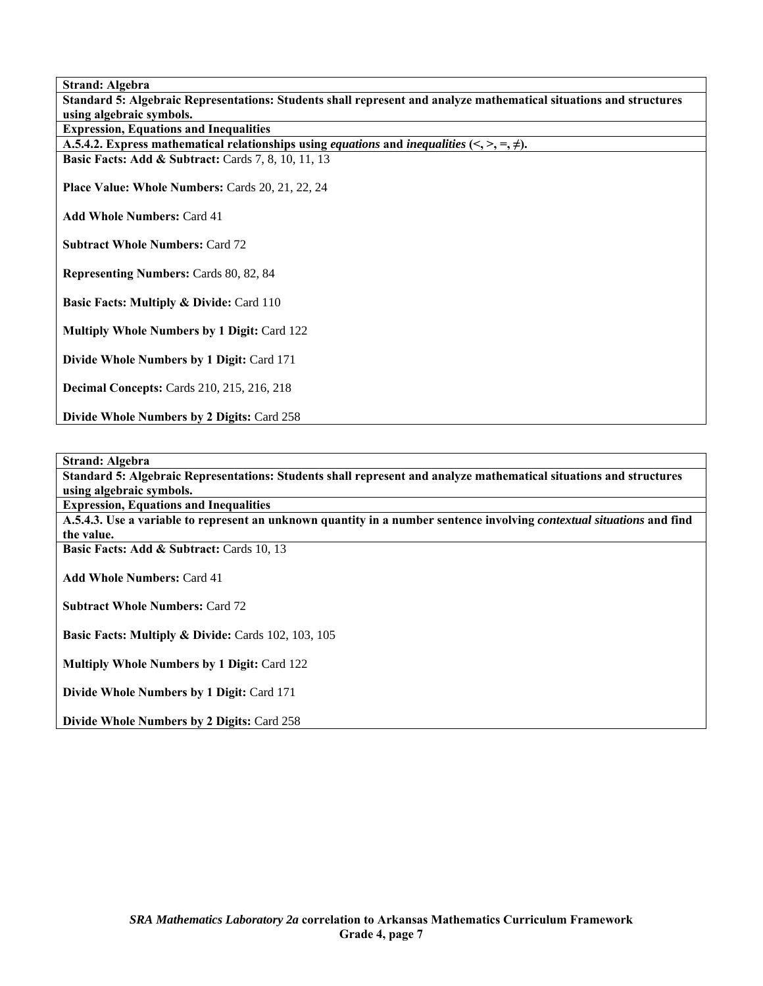**Strand: Algebra Standard 5: Algebraic Representations: Students shall represent and analyze mathematical situations and structures using algebraic symbols. Expression, Equations and Inequalities A.5.4.2.** Express mathematical relationships using *equations* and *inequalities*  $\langle \langle, \rangle, =, \neq \rangle$ . **Basic Facts: Add & Subtract: Cards 7, 8, 10, 11, 13 Place Value: Whole Numbers:** Cards 20, 21, 22, 24 **Add Whole Numbers:** Card 41 **Subtract Whole Numbers:** Card 72 **Representing Numbers:** Cards 80, 82, 84 **Basic Facts: Multiply & Divide: Card 110 Multiply Whole Numbers by 1 Digit:** Card 122 **Divide Whole Numbers by 1 Digit:** Card 171 **Decimal Concepts:** Cards 210, 215, 216, 218

**Strand: Algebra** 

**Standard 5: Algebraic Representations: Students shall represent and analyze mathematical situations and structures using algebraic symbols.** 

**Expression, Equations and Inequalities** 

**A.5.4.3. Use a variable to represent an unknown quantity in a number sentence involving** *contextual situations* **and find the value.** 

**Basic Facts: Add & Subtract:** Cards 10, 13

**Divide Whole Numbers by 2 Digits:** Card 258

**Add Whole Numbers:** Card 41

**Subtract Whole Numbers:** Card 72

Basic Facts: Multiply & Divide: Cards 102, 103, 105

**Multiply Whole Numbers by 1 Digit:** Card 122

**Divide Whole Numbers by 1 Digit:** Card 171

**Divide Whole Numbers by 2 Digits:** Card 258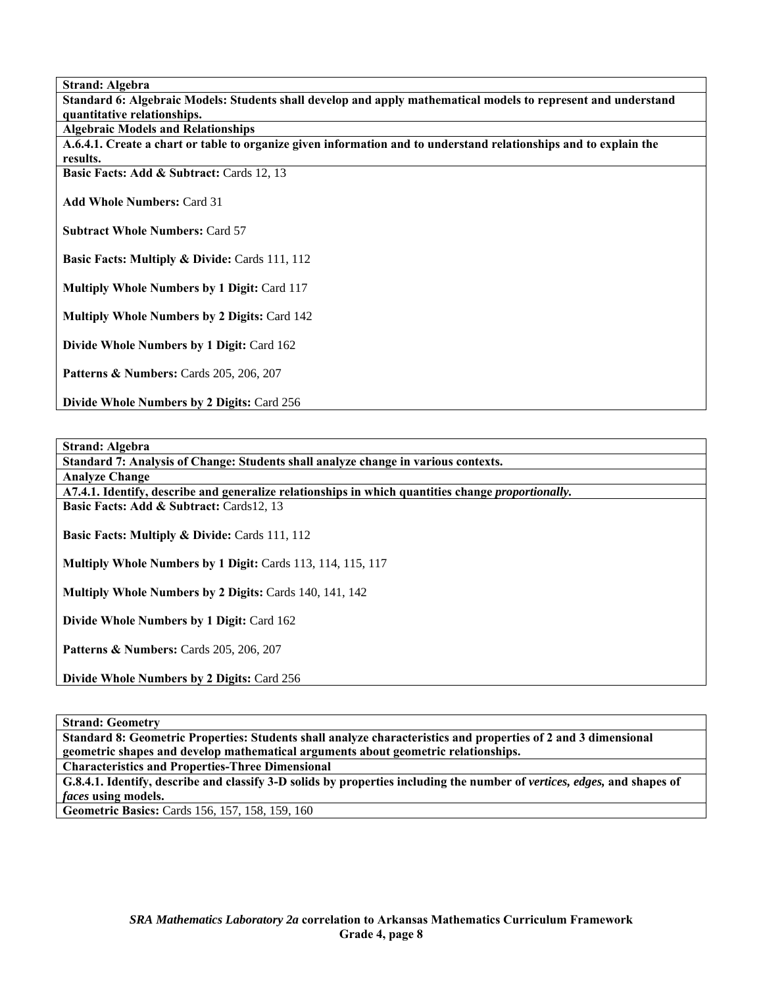**Strand: Algebra** 

**Standard 6: Algebraic Models: Students shall develop and apply mathematical models to represent and understand quantitative relationships.** 

**Algebraic Models and Relationships** 

**A.6.4.1. Create a chart or table to organize given information and to understand relationships and to explain the results.** 

**Basic Facts: Add & Subtract: Cards 12, 13** 

**Add Whole Numbers:** Card 31

**Subtract Whole Numbers:** Card 57

**Basic Facts: Multiply & Divide: Cards 111, 112** 

**Multiply Whole Numbers by 1 Digit:** Card 117

**Multiply Whole Numbers by 2 Digits:** Card 142

**Divide Whole Numbers by 1 Digit:** Card 162

**Patterns & Numbers:** Cards 205, 206, 207

**Divide Whole Numbers by 2 Digits:** Card 256

**Strand: Algebra** 

**Standard 7: Analysis of Change: Students shall analyze change in various contexts.** 

**Analyze Change** 

**A7.4.1. Identify, describe and generalize relationships in which quantities change** *proportionally.*  **Basic Facts: Add & Subtract:** Cards12, 13

**Basic Facts: Multiply & Divide: Cards 111, 112** 

**Multiply Whole Numbers by 1 Digit:** Cards 113, 114, 115, 117

**Multiply Whole Numbers by 2 Digits:** Cards 140, 141, 142

**Divide Whole Numbers by 1 Digit:** Card 162

**Patterns & Numbers:** Cards 205, 206, 207

**Divide Whole Numbers by 2 Digits:** Card 256

**Strand: Geometry** 

**Standard 8: Geometric Properties: Students shall analyze characteristics and properties of 2 and 3 dimensional geometric shapes and develop mathematical arguments about geometric relationships. Characteristics and Properties-Three Dimensional** 

G.8.4.1. Identify, describe and classify 3-D solids by properties including the number of *vertices, edges*, and shapes of *faces* **using models.** 

**Geometric Basics:** Cards 156, 157, 158, 159, 160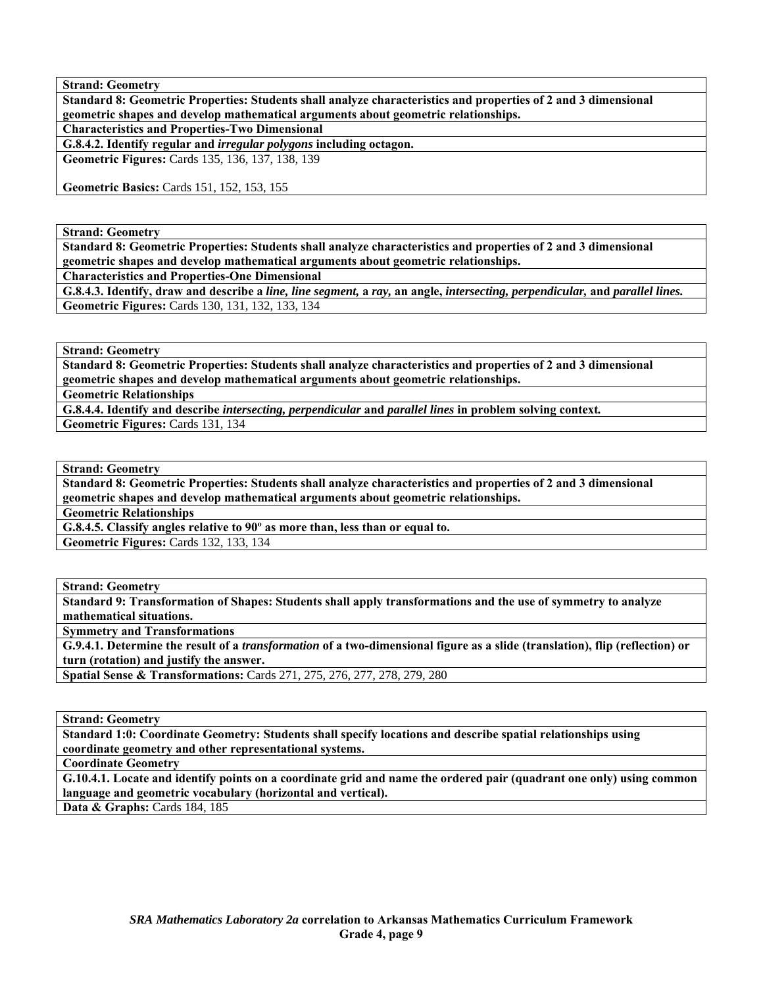**Strand: Geometry** 

**Standard 8: Geometric Properties: Students shall analyze characteristics and properties of 2 and 3 dimensional geometric shapes and develop mathematical arguments about geometric relationships. Characteristics and Properties-Two Dimensional** 

**G.8.4.2. Identify regular and** *irregular polygons* **including octagon.** 

**Geometric Figures:** Cards 135, 136, 137, 138, 139

**Geometric Basics:** Cards 151, 152, 153, 155

**Strand: Geometry** 

**Standard 8: Geometric Properties: Students shall analyze characteristics and properties of 2 and 3 dimensional geometric shapes and develop mathematical arguments about geometric relationships.** 

**Characteristics and Properties-One Dimensional** 

**G.8.4.3. Identify, draw and describe a** *line, line segment,* **a** *ray,* **an angle,** *intersecting, perpendicular,* **and** *parallel lines.* **Geometric Figures:** Cards 130, 131, 132, 133, 134

**Strand: Geometry** 

**Standard 8: Geometric Properties: Students shall analyze characteristics and properties of 2 and 3 dimensional geometric shapes and develop mathematical arguments about geometric relationships.** 

**Geometric Relationships** 

**G.8.4.4. Identify and describe** *intersecting, perpendicular* **and** *parallel lines* **in problem solving context***.* **Geometric Figures:** Cards 131, 134

**Strand: Geometry** 

**Standard 8: Geometric Properties: Students shall analyze characteristics and properties of 2 and 3 dimensional geometric shapes and develop mathematical arguments about geometric relationships.** 

**Geometric Relationships** 

**G.8.4.5. Classify angles relative to 90º as more than, less than or equal to.** 

**Geometric Figures:** Cards 132, 133, 134

**Strand: Geometry** 

**Standard 9: Transformation of Shapes: Students shall apply transformations and the use of symmetry to analyze mathematical situations.** 

**Symmetry and Transformations** 

**G.9.4.1. Determine the result of a** *transformation* **of a two-dimensional figure as a slide (translation), flip (reflection) or turn (rotation) and justify the answer.** 

**Spatial Sense & Transformations:** Cards 271, 275, 276, 277, 278, 279, 280

**Strand: Geometry** 

**Standard 1:0: Coordinate Geometry: Students shall specify locations and describe spatial relationships using coordinate geometry and other representational systems.** 

**Coordinate Geometry** 

**G.10.4.1. Locate and identify points on a coordinate grid and name the ordered pair (quadrant one only) using common language and geometric vocabulary (horizontal and vertical).**  Data & Graphs: Cards 184, 185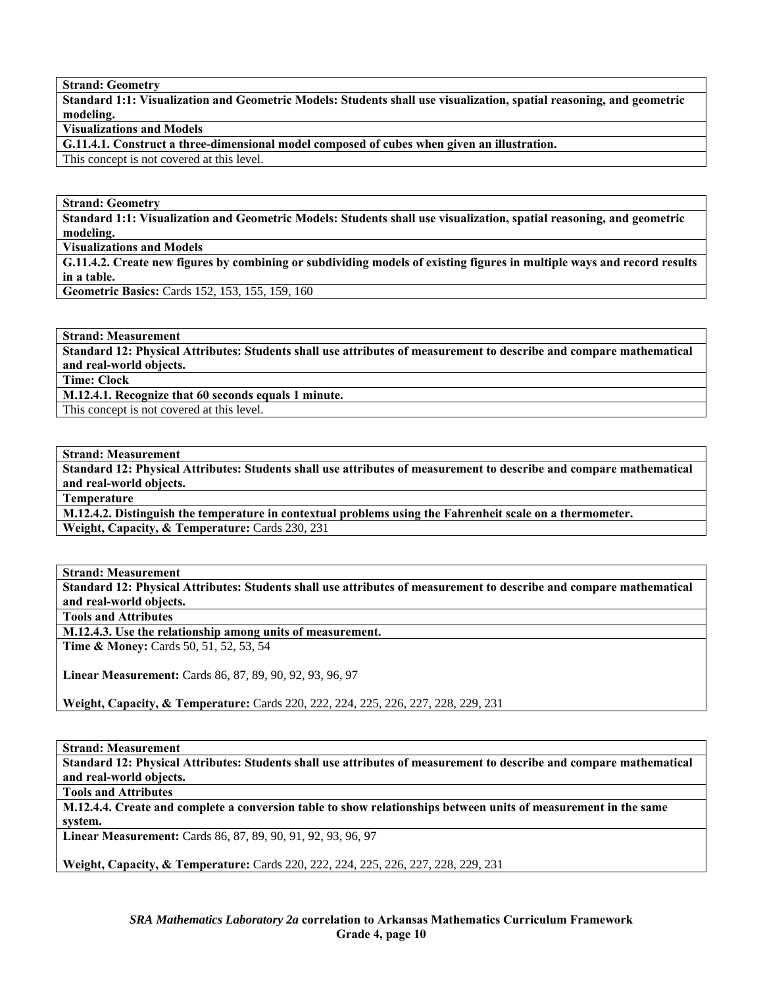**Strand: Geometry** 

**Standard 1:1: Visualization and Geometric Models: Students shall use visualization, spatial reasoning, and geometric modeling.** 

**Visualizations and Models** 

**G.11.4.1. Construct a three-dimensional model composed of cubes when given an illustration.** 

This concept is not covered at this level.

**Strand: Geometry** 

**Standard 1:1: Visualization and Geometric Models: Students shall use visualization, spatial reasoning, and geometric modeling.** 

**Visualizations and Models** 

**G.11.4.2. Create new figures by combining or subdividing models of existing figures in multiple ways and record results in a table.** 

**Geometric Basics:** Cards 152, 153, 155, 159, 160

**Strand: Measurement** 

**Standard 12: Physical Attributes: Students shall use attributes of measurement to describe and compare mathematical and real-world objects.** 

**Time: Clock** 

**M.12.4.1. Recognize that 60 seconds equals 1 minute.** 

This concept is not covered at this level.

**Strand: Measurement** 

**Standard 12: Physical Attributes: Students shall use attributes of measurement to describe and compare mathematical and real-world objects.** 

**Temperature** 

**M.12.4.2. Distinguish the temperature in contextual problems using the Fahrenheit scale on a thermometer. Weight, Capacity, & Temperature:** Cards 230, 231

**Strand: Measurement** 

**Standard 12: Physical Attributes: Students shall use attributes of measurement to describe and compare mathematical and real-world objects.** 

**Tools and Attributes** 

**M.12.4.3. Use the relationship among units of measurement.** 

**Time & Money:** Cards 50, 51, 52, 53, 54

**Linear Measurement:** Cards 86, 87, 89, 90, 92, 93, 96, 97

**Weight, Capacity, & Temperature:** Cards 220, 222, 224, 225, 226, 227, 228, 229, 231

**Strand: Measurement** 

**Standard 12: Physical Attributes: Students shall use attributes of measurement to describe and compare mathematical and real-world objects.** 

**Tools and Attributes** 

**M.12.4.4. Create and complete a conversion table to show relationships between units of measurement in the same system.** 

**Linear Measurement:** Cards 86, 87, 89, 90, 91, 92, 93, 96, 97

**Weight, Capacity, & Temperature:** Cards 220, 222, 224, 225, 226, 227, 228, 229, 231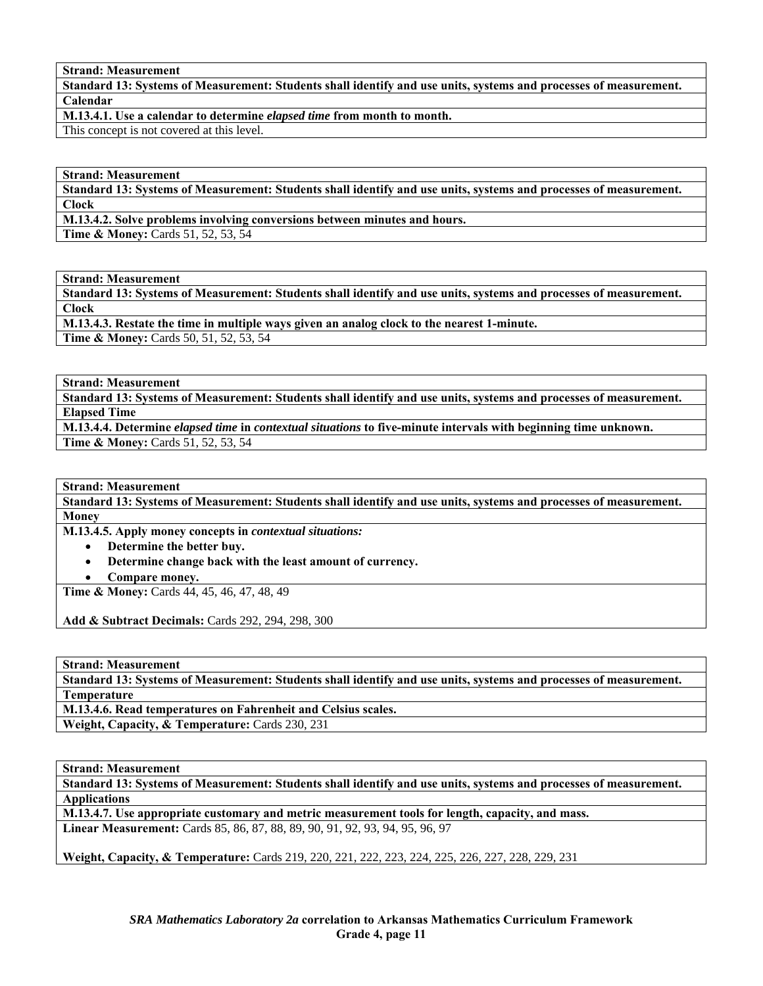#### **Strand: Measurement**

**Standard 13: Systems of Measurement: Students shall identify and use units, systems and processes of measurement. Calendar** 

**M.13.4.1. Use a calendar to determine** *elapsed time* **from month to month.** 

This concept is not covered at this level.

### **Strand: Measurement**

**Standard 13: Systems of Measurement: Students shall identify and use units, systems and processes of measurement. Clock** 

**M.13.4.2. Solve problems involving conversions between minutes and hours.** 

**Time & Money: Cards 51, 52, 53, 54** 

**Strand: Measurement** 

**Standard 13: Systems of Measurement: Students shall identify and use units, systems and processes of measurement. Clock** 

**M.13.4.3. Restate the time in multiple ways given an analog clock to the nearest 1-minute. Time & Money:** Cards 50, 51, 52, 53, 54

**Strand: Measurement** 

**Standard 13: Systems of Measurement: Students shall identify and use units, systems and processes of measurement. Elapsed Time** 

**M.13.4.4. Determine** *elapsed time* **in** *contextual situations* **to five-minute intervals with beginning time unknown. Time & Money: Cards 51, 52, 53, 54** 

**Strand: Measurement** 

**Standard 13: Systems of Measurement: Students shall identify and use units, systems and processes of measurement. Money** 

**M.13.4.5. Apply money concepts in** *contextual situations:* 

- **Determine the better buy.**
- **Determine change back with the least amount of currency.**
- **Compare money.**

**Time & Money:** Cards 44,  $\overline{45}$ , 46, 47, 48, 49

**Add & Subtract Decimals:** Cards 292, 294, 298, 300

**Strand: Measurement** 

**Standard 13: Systems of Measurement: Students shall identify and use units, systems and processes of measurement. Temperature** 

**M.13.4.6. Read temperatures on Fahrenheit and Celsius scales.** 

**Weight, Capacity, & Temperature:** Cards 230, 231

**Strand: Measurement** 

**Standard 13: Systems of Measurement: Students shall identify and use units, systems and processes of measurement. Applications** 

**M.13.4.7. Use appropriate customary and metric measurement tools for length, capacity, and mass. Linear Measurement:** Cards 85, 86, 87, 88, 89, 90, 91, 92, 93, 94, 95, 96, 97

**Weight, Capacity, & Temperature:** Cards 219, 220, 221, 222, 223, 224, 225, 226, 227, 228, 229, 231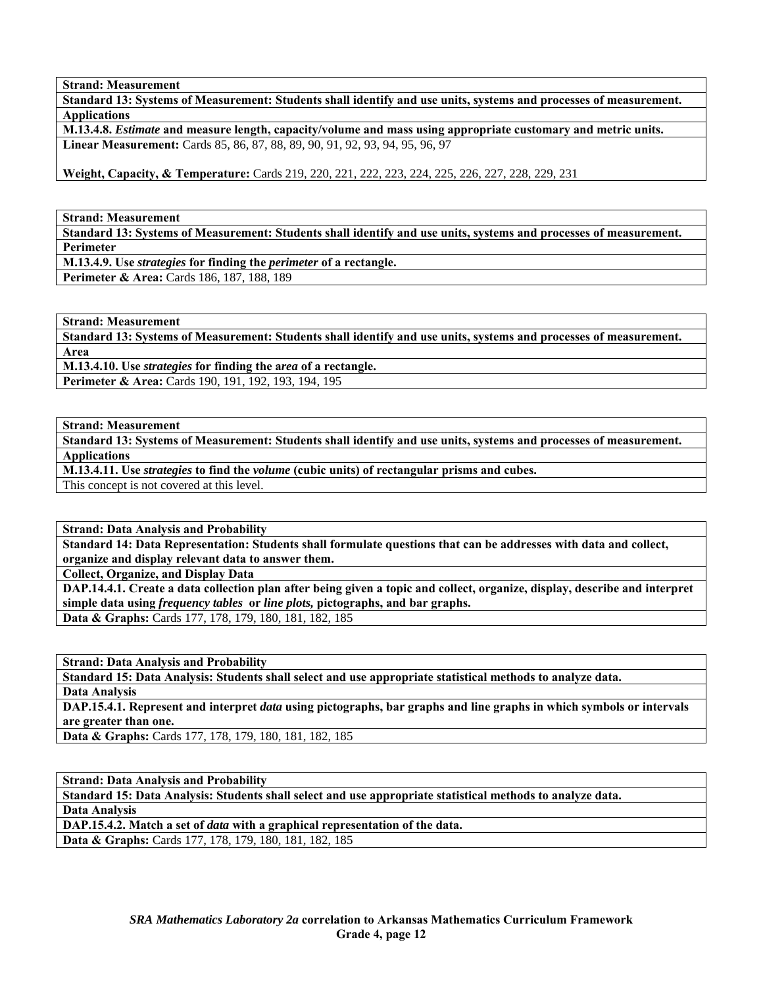**Strand: Measurement** 

**Standard 13: Systems of Measurement: Students shall identify and use units, systems and processes of measurement. Applications** 

**M.13.4.8.** *Estimate* **and measure length, capacity/volume and mass using appropriate customary and metric units. Linear Measurement:** Cards 85, 86, 87, 88, 89, 90, 91, 92, 93, 94, 95, 96, 97

**Weight, Capacity, & Temperature:** Cards 219, 220, 221, 222, 223, 224, 225, 226, 227, 228, 229, 231

**Strand: Measurement** 

**Standard 13: Systems of Measurement: Students shall identify and use units, systems and processes of measurement. Perimeter** 

**M.13.4.9. Use** *strategies* **for finding the** *perimeter* **of a rectangle.** 

**Perimeter & Area:** Cards 186, 187, 188, 189

**Strand: Measurement** 

**Standard 13: Systems of Measurement: Students shall identify and use units, systems and processes of measurement. Area** 

**M.13.4.10. Use** *strategies* **for finding the a***rea* **of a rectangle. Perimeter & Area:** Cards 190, 191, 192, 193, 194, 195

**Strand: Measurement** 

**Standard 13: Systems of Measurement: Students shall identify and use units, systems and processes of measurement. Applications** 

**M.13.4.11. Use** *strategies* **to find the** *volume* **(cubic units) of rectangular prisms and cubes.** 

This concept is not covered at this level.

**Strand: Data Analysis and Probability** 

**Standard 14: Data Representation: Students shall formulate questions that can be addresses with data and collect, organize and display relevant data to answer them.** 

**Collect, Organize, and Display Data** 

**DAP.14.4.1. Create a data collection plan after being given a topic and collect, organize, display, describe and interpret simple data using** *frequency tables* **or** *line plots,* **pictographs, and bar graphs. Data & Graphs:** Cards 177, 178, 179, 180, 181, 182, 185

**Strand: Data Analysis and Probability** 

**Standard 15: Data Analysis: Students shall select and use appropriate statistical methods to analyze data. Data Analysis** 

**DAP.15.4.1. Represent and interpret** *data* **using pictographs, bar graphs and line graphs in which symbols or intervals are greater than one.** 

**Data & Graphs:** Cards 177, 178, 179, 180, 181, 182, 185

**Strand: Data Analysis and Probability** 

**Standard 15: Data Analysis: Students shall select and use appropriate statistical methods to analyze data. Data Analysis** 

**DAP.15.4.2. Match a set of** *data* **with a graphical representation of the data.** 

**Data & Graphs:** Cards 177, 178, 179, 180, 181, 182, 185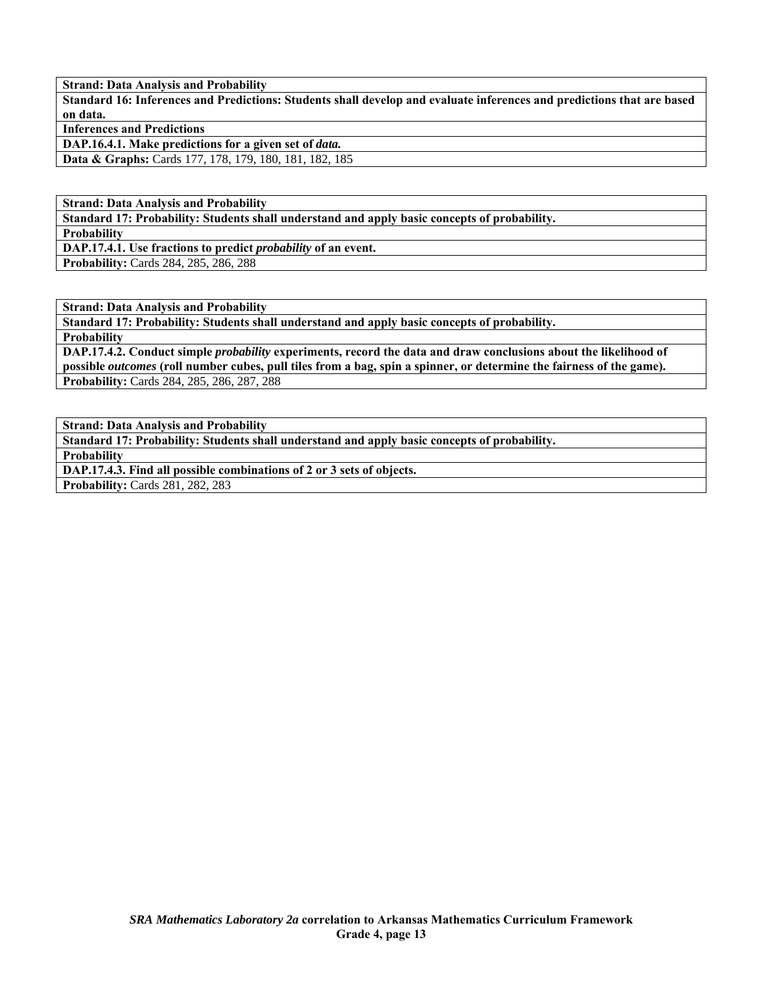**Strand: Data Analysis and Probability** 

**Standard 16: Inferences and Predictions: Students shall develop and evaluate inferences and predictions that are based on data.** 

**Inferences and Predictions** 

**DAP.16.4.1. Make predictions for a given set of** *data.* 

**Data & Graphs:** Cards 177, 178, 179, 180, 181, 182, 185

**Strand: Data Analysis and Probability** 

**Standard 17: Probability: Students shall understand and apply basic concepts of probability.** 

**Probability** 

**DAP.17.4.1. Use fractions to predict** *probability* **of an event.** 

**Probability:** Cards 284, 285, 286, 288

**Strand: Data Analysis and Probability** 

**Standard 17: Probability: Students shall understand and apply basic concepts of probability.** 

**Probability** 

**DAP.17.4.2. Conduct simple** *probability* **experiments, record the data and draw conclusions about the likelihood of possible** *outcomes* **(roll number cubes, pull tiles from a bag, spin a spinner, or determine the fairness of the game). Probability:** Cards 284, 285, 286, 287, 288

**Strand: Data Analysis and Probability** 

**Standard 17: Probability: Students shall understand and apply basic concepts of probability.** 

**Probability** 

**DAP.17.4.3. Find all possible combinations of 2 or 3 sets of objects.** 

**Probability:** Cards 281, 282, 283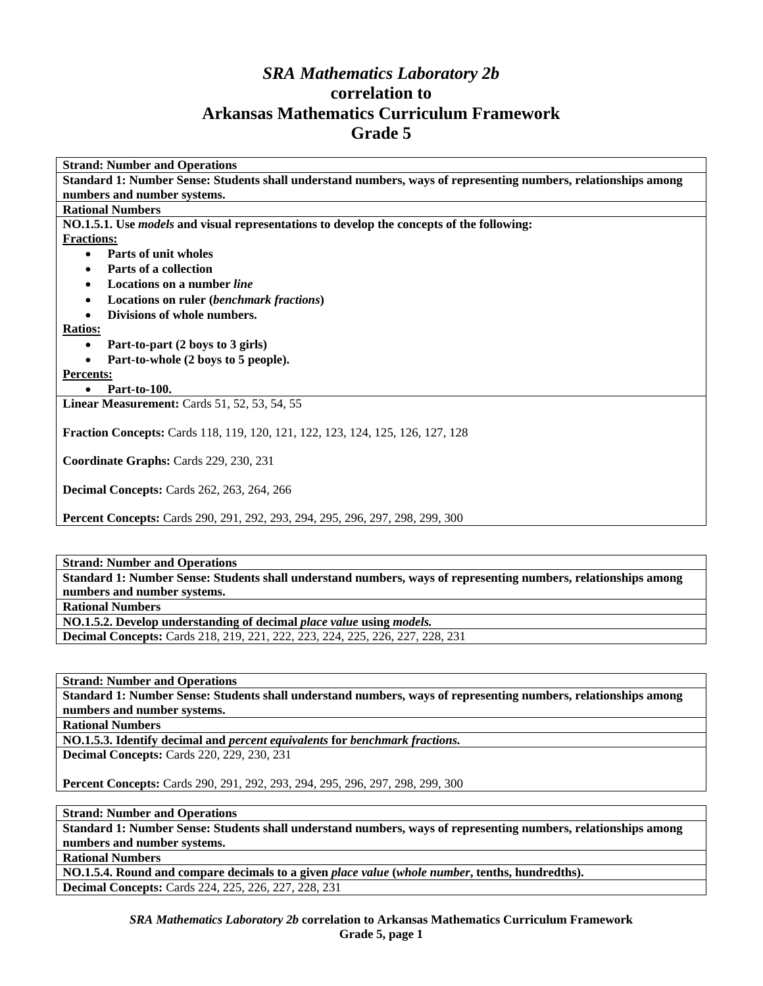# *SRA Mathematics Laboratory 2b*  **correlation to Arkansas Mathematics Curriculum Framework Grade 5**

**Strand: Number and Operations Standard 1: Number Sense: Students shall understand numbers, ways of representing numbers, relationships among numbers and number systems. Rational Numbers NO.1.5.1. Use** *models* **and visual representations to develop the concepts of the following: Fractions:** • **Parts of unit wholes**  • **Parts of a collection**  • **Locations on a number** *line* • **Locations on ruler (***benchmark fractions***)**  • **Divisions of whole numbers. Ratios:** • **Part-to-part (2 boys to 3 girls)**  • **Part-to-whole (2 boys to 5 people). Percents:** • **Part-to-100. Linear Measurement:** Cards 51, 52, 53, 54, 55 **Fraction Concepts:** Cards 118, 119, 120, 121, 122, 123, 124, 125, 126, 127, 128 **Coordinate Graphs:** Cards 229, 230, 231 **Decimal Concepts:** Cards 262, 263, 264, 266

**Percent Concepts:** Cards 290, 291, 292, 293, 294, 295, 296, 297, 298, 299, 300

### **Strand: Number and Operations**

**Standard 1: Number Sense: Students shall understand numbers, ways of representing numbers, relationships among numbers and number systems.** 

**Rational Numbers** 

**NO.1.5.2. Develop understanding of decimal** *place value* **using** *models.* 

**Decimal Concepts:** Cards 218, 219, 221, 222, 223, 224, 225, 226, 227, 228, 231

**Strand: Number and Operations** 

**Standard 1: Number Sense: Students shall understand numbers, ways of representing numbers, relationships among numbers and number systems.** 

**Rational Numbers** 

**NO.1.5.3. Identify decimal and** *percent equivalents* **for** *benchmark fractions.*  **Decimal Concepts:** Cards 220, 229, 230, 231

**Percent Concepts:** Cards 290, 291, 292, 293, 294, 295, 296, 297, 298, 299, 300

**Strand: Number and Operations** 

**Standard 1: Number Sense: Students shall understand numbers, ways of representing numbers, relationships among numbers and number systems.** 

**Rational Numbers** 

**NO.1.5.4. Round and compare decimals to a given** *place value* **(***whole number***, tenths, hundredths). Decimal Concepts:** Cards 224, 225, 226, 227, 228, 231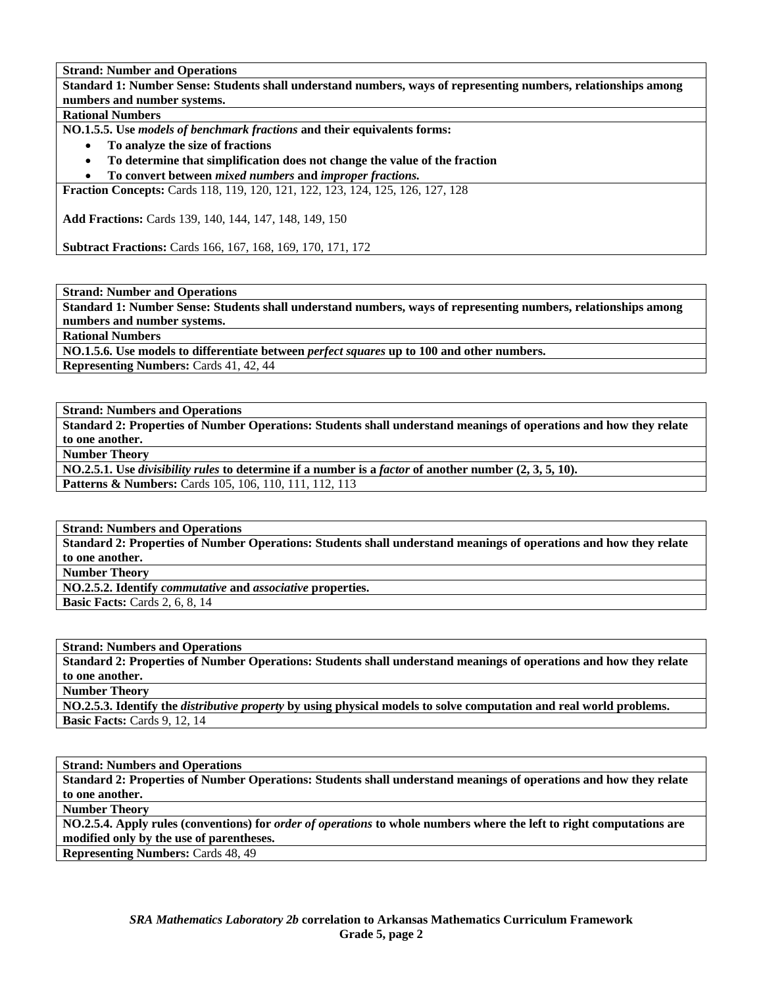**Standard 1: Number Sense: Students shall understand numbers, ways of representing numbers, relationships among numbers and number systems.** 

**Rational Numbers** 

**NO.1.5.5. Use** *models of benchmark fractions* **and their equivalents forms:** 

- **To analyze the size of fractions**
- **To determine that simplification does not change the value of the fraction**
- **To convert between** *mixed numbers* **and** *improper fractions.*

**Fraction Concepts:** Cards 118, 119, 120, 121, 122, 123, 124, 125, 126, 127, 128

**Add Fractions:** Cards 139, 140, 144, 147, 148, 149, 150

**Subtract Fractions:** Cards 166, 167, 168, 169, 170, 171, 172

**Strand: Number and Operations** 

**Standard 1: Number Sense: Students shall understand numbers, ways of representing numbers, relationships among numbers and number systems.** 

**Rational Numbers** 

**NO.1.5.6. Use models to differentiate between** *perfect squares* **up to 100 and other numbers.** 

**Representing Numbers:** Cards 41, 42, 44

**Strand: Numbers and Operations** 

**Standard 2: Properties of Number Operations: Students shall understand meanings of operations and how they relate to one another.** 

**Number Theory** 

**NO.2.5.1. Use** *divisibility rules* **to determine if a number is a** *factor* **of another number (2, 3, 5, 10).** 

Patterns & Numbers: Cards 105, 106, 110, 111, 112, 113

**Strand: Numbers and Operations** 

**Standard 2: Properties of Number Operations: Students shall understand meanings of operations and how they relate to one another.** 

**Number Theory** 

**NO.2.5.2. Identify** *commutative* **and** *associative* **properties.** 

**Basic Facts:** Cards 2, 6, 8, 14

**Strand: Numbers and Operations** 

**Standard 2: Properties of Number Operations: Students shall understand meanings of operations and how they relate to one another. Number Theory** 

**NO.2.5.3. Identify the** *distributive property* **by using physical models to solve computation and real world problems. Basic Facts: Cards 9, 12, 14** 

**Strand: Numbers and Operations Standard 2: Properties of Number Operations: Students shall understand meanings of operations and how they relate to one another. Number Theory** 

**NO.2.5.4. Apply rules (conventions) for** *order of operations* **to whole numbers where the left to right computations are modified only by the use of parentheses.** 

**Representing Numbers:** Cards 48, 49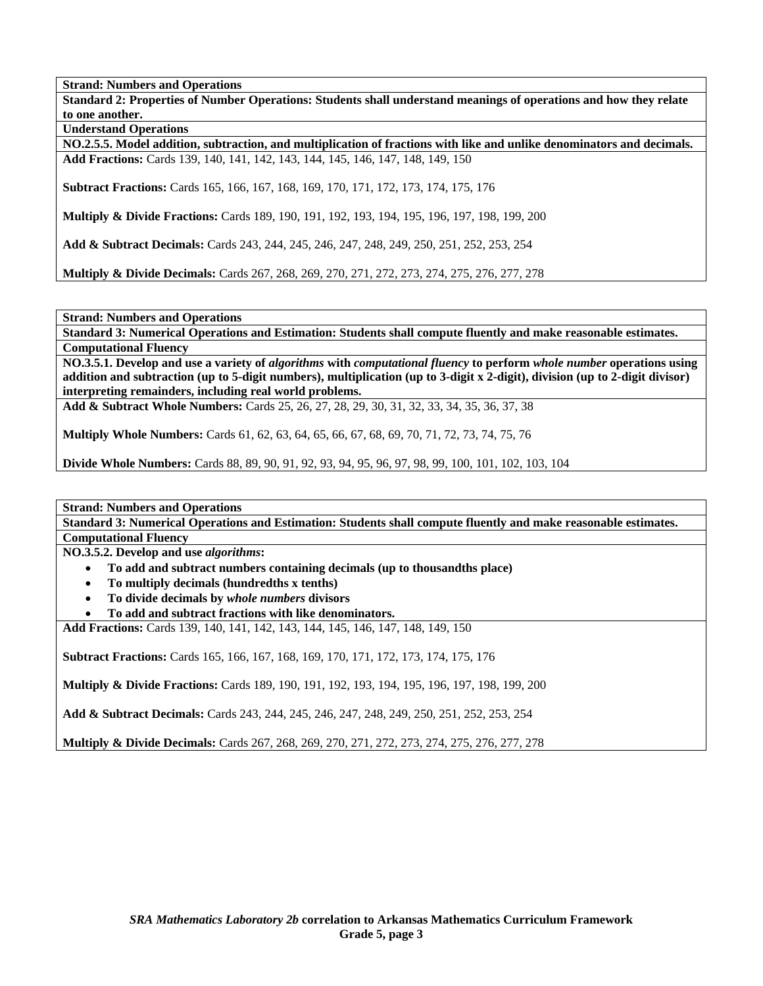**Standard 2: Properties of Number Operations: Students shall understand meanings of operations and how they relate to one another.** 

**Understand Operations** 

**NO.2.5.5. Model addition, subtraction, and multiplication of fractions with like and unlike denominators and decimals. Add Fractions:** Cards 139, 140, 141, 142, 143, 144, 145, 146, 147, 148, 149, 150

**Subtract Fractions:** Cards 165, 166, 167, 168, 169, 170, 171, 172, 173, 174, 175, 176

**Multiply & Divide Fractions:** Cards 189, 190, 191, 192, 193, 194, 195, 196, 197, 198, 199, 200

**Add & Subtract Decimals:** Cards 243, 244, 245, 246, 247, 248, 249, 250, 251, 252, 253, 254

**Multiply & Divide Decimals:** Cards 267, 268, 269, 270, 271, 272, 273, 274, 275, 276, 277, 278

**Strand: Numbers and Operations** 

**Standard 3: Numerical Operations and Estimation: Students shall compute fluently and make reasonable estimates. Computational Fluency** 

**NO.3.5.1. Develop and use a variety of** *algorithms* **with** *computational fluency* **to perform** *whole number* **operations using addition and subtraction (up to 5-digit numbers), multiplication (up to 3-digit x 2-digit), division (up to 2-digit divisor) interpreting remainders, including real world problems.** 

**Add & Subtract Whole Numbers:** Cards 25, 26, 27, 28, 29, 30, 31, 32, 33, 34, 35, 36, 37, 38

**Multiply Whole Numbers:** Cards 61, 62, 63, 64, 65, 66, 67, 68, 69, 70, 71, 72, 73, 74, 75, 76

**Divide Whole Numbers:** Cards 88, 89, 90, 91, 92, 93, 94, 95, 96, 97, 98, 99, 100, 101, 102, 103, 104

**Strand: Numbers and Operations** 

**Standard 3: Numerical Operations and Estimation: Students shall compute fluently and make reasonable estimates. Computational Fluency** 

**NO.3.5.2. Develop and use** *algorithms***:** 

- **To add and subtract numbers containing decimals (up to thousandths place)**
- **To multiply decimals (hundredths x tenths)**
- **To divide decimals by** *whole numbers* **divisors**
- **To add and subtract fractions with like denominators.**

**Add Fractions:** Cards 139, 140, 141, 142, 143, 144, 145, 146, 147, 148, 149, 150

**Subtract Fractions:** Cards 165, 166, 167, 168, 169, 170, 171, 172, 173, 174, 175, 176

**Multiply & Divide Fractions:** Cards 189, 190, 191, 192, 193, 194, 195, 196, 197, 198, 199, 200

**Add & Subtract Decimals:** Cards 243, 244, 245, 246, 247, 248, 249, 250, 251, 252, 253, 254

**Multiply & Divide Decimals:** Cards 267, 268, 269, 270, 271, 272, 273, 274, 275, 276, 277, 278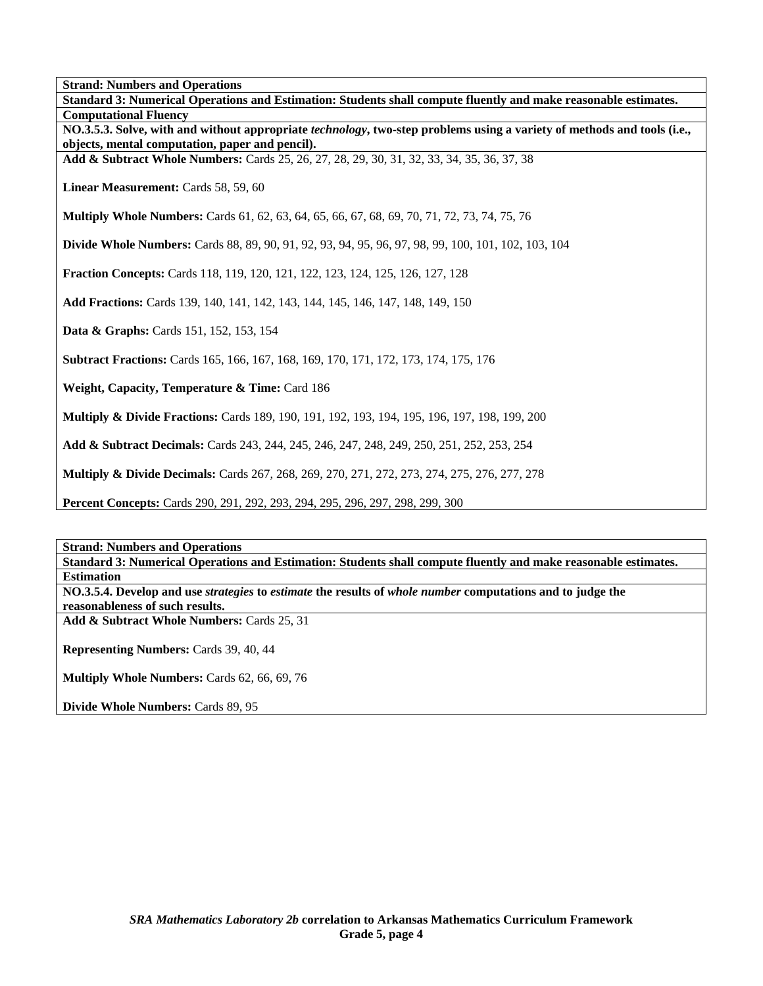**Standard 3: Numerical Operations and Estimation: Students shall compute fluently and make reasonable estimates. Computational Fluency NO.3.5.3. Solve, with and without appropriate** *technology***, two-step problems using a variety of methods and tools (i.e., objects, mental computation, paper and pencil). Add & Subtract Whole Numbers:** Cards 25, 26, 27, 28, 29, 30, 31, 32, 33, 34, 35, 36, 37, 38 Linear Measurement: Cards 58, 59, 60 **Multiply Whole Numbers:** Cards 61, 62, 63, 64, 65, 66, 67, 68, 69, 70, 71, 72, 73, 74, 75, 76 **Divide Whole Numbers:** Cards 88, 89, 90, 91, 92, 93, 94, 95, 96, 97, 98, 99, 100, 101, 102, 103, 104 **Fraction Concepts:** Cards 118, 119, 120, 121, 122, 123, 124, 125, 126, 127, 128 **Add Fractions:** Cards 139, 140, 141, 142, 143, 144, 145, 146, 147, 148, 149, 150 **Data & Graphs:** Cards 151, 152, 153, 154 **Subtract Fractions:** Cards 165, 166, 167, 168, 169, 170, 171, 172, 173, 174, 175, 176 **Weight, Capacity, Temperature & Time: Card 186 Multiply & Divide Fractions:** Cards 189, 190, 191, 192, 193, 194, 195, 196, 197, 198, 199, 200 **Add & Subtract Decimals:** Cards 243, 244, 245, 246, 247, 248, 249, 250, 251, 252, 253, 254 **Multiply & Divide Decimals:** Cards 267, 268, 269, 270, 271, 272, 273, 274, 275, 276, 277, 278 **Percent Concepts:** Cards 290, 291, 292, 293, 294, 295, 296, 297, 298, 299, 300

**Strand: Numbers and Operations Standard 3: Numerical Operations and Estimation: Students shall compute fluently and make reasonable estimates. Estimation NO.3.5.4. Develop and use** *strategies* **to** *estimate* **the results of** *whole number* **computations and to judge the reasonableness of such results. Add & Subtract Whole Numbers:** Cards 25, 31 **Representing Numbers:** Cards 39, 40, 44 **Multiply Whole Numbers:** Cards 62, 66, 69, 76 **Divide Whole Numbers:** Cards 89, 95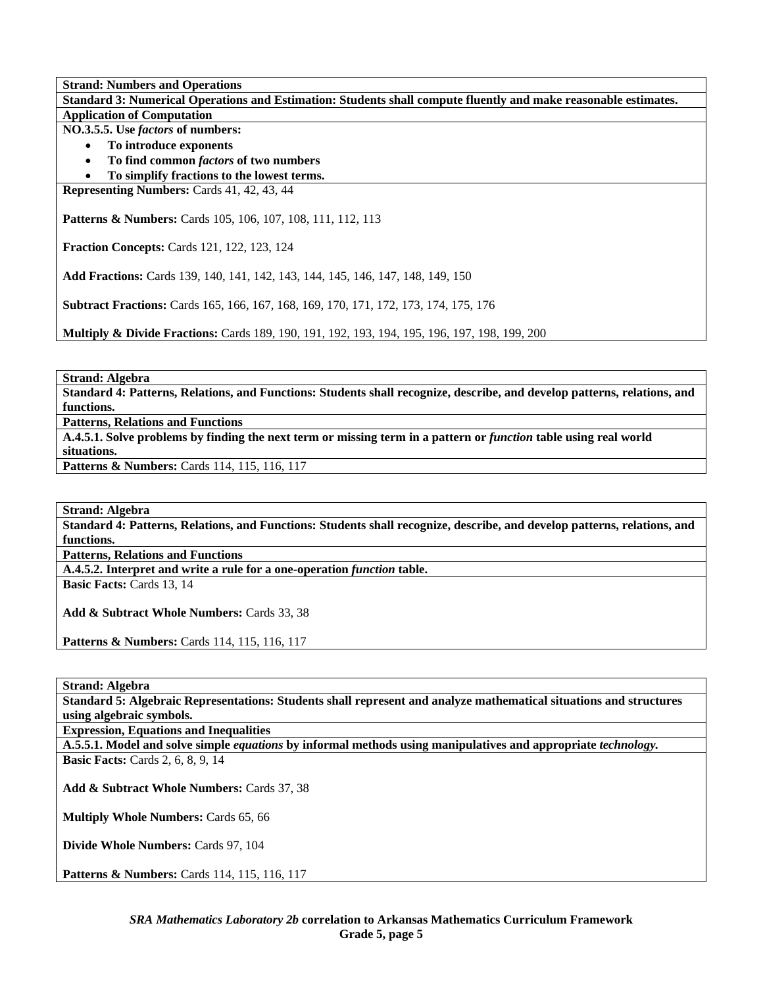**Standard 3: Numerical Operations and Estimation: Students shall compute fluently and make reasonable estimates. Application of Computation** 

**NO.3.5.5. Use** *factors* **of numbers:** 

- **To introduce exponents**
- **To find common** *factors* **of two numbers**
- **To simplify fractions to the lowest terms.**

**Representing Numbers:** Cards 41, 42, 43, 44

Patterns & Numbers: Cards 105, 106, 107, 108, 111, 112, 113

**Fraction Concepts:** Cards 121, 122, 123, 124

**Add Fractions:** Cards 139, 140, 141, 142, 143, 144, 145, 146, 147, 148, 149, 150

**Subtract Fractions:** Cards 165, 166, 167, 168, 169, 170, 171, 172, 173, 174, 175, 176

**Multiply & Divide Fractions:** Cards 189, 190, 191, 192, 193, 194, 195, 196, 197, 198, 199, 200

**Strand: Algebra** 

**Standard 4: Patterns, Relations, and Functions: Students shall recognize, describe, and develop patterns, relations, and functions.** 

**Patterns, Relations and Functions** 

**A.4.5.1. Solve problems by finding the next term or missing term in a pattern or** *function* **table using real world situations.** 

Patterns & Numbers: Cards 114, 115, 116, 117

**Strand: Algebra** 

**Standard 4: Patterns, Relations, and Functions: Students shall recognize, describe, and develop patterns, relations, and functions.** 

**Patterns, Relations and Functions** 

**A.4.5.2. Interpret and write a rule for a one-operation** *function* **table.** 

**Basic Facts:** Cards 13, 14

**Add & Subtract Whole Numbers:** Cards 33, 38

**Patterns & Numbers:** Cards 114, 115, 116, 117

**Strand: Algebra** 

**Standard 5: Algebraic Representations: Students shall represent and analyze mathematical situations and structures using algebraic symbols.** 

**Expression, Equations and Inequalities** 

**A.5.5.1. Model and solve simple** *equations* **by informal methods using manipulatives and appropriate** *technology.* 

**Basic Facts:** Cards 2, 6, 8, 9, 14

**Add & Subtract Whole Numbers:** Cards 37, 38

**Multiply Whole Numbers:** Cards 65, 66

**Divide Whole Numbers:** Cards 97, 104

**Patterns & Numbers:** Cards 114, 115, 116, 117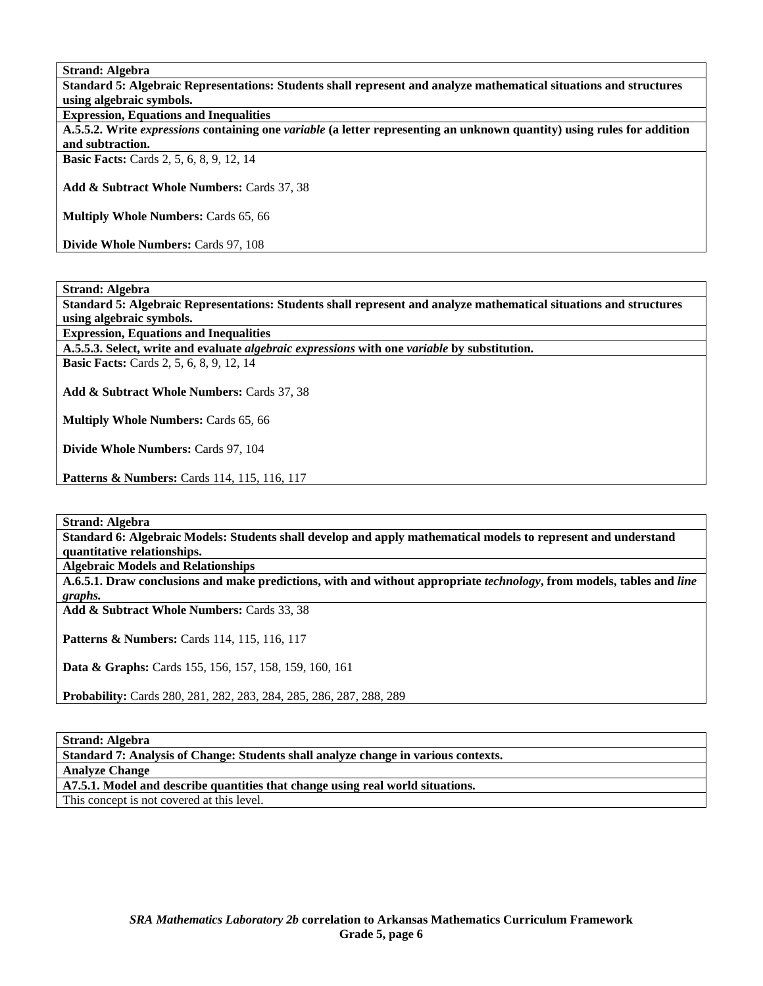**Strand: Algebra** 

**Standard 5: Algebraic Representations: Students shall represent and analyze mathematical situations and structures using algebraic symbols.** 

**Expression, Equations and Inequalities** 

**A.5.5.2. Write** *expressions* **containing one** *variable* **(a letter representing an unknown quantity) using rules for addition and subtraction.** 

**Basic Facts:** Cards 2, 5, 6, 8, 9, 12, 14

**Add & Subtract Whole Numbers:** Cards 37, 38

**Multiply Whole Numbers:** Cards 65, 66

**Divide Whole Numbers:** Cards 97, 108

**Strand: Algebra** 

**Standard 5: Algebraic Representations: Students shall represent and analyze mathematical situations and structures using algebraic symbols.** 

**Expression, Equations and Inequalities** 

**A.5.5.3. Select, write and evaluate** *algebraic expressions* **with one** *variable* **by substitution.** 

**Basic Facts:** Cards 2, 5, 6, 8, 9, 12, 14

**Add & Subtract Whole Numbers:** Cards 37, 38

**Multiply Whole Numbers:** Cards 65, 66

**Divide Whole Numbers:** Cards 97, 104

**Patterns & Numbers:** Cards 114, 115, 116, 117

**Strand: Algebra** 

**Standard 6: Algebraic Models: Students shall develop and apply mathematical models to represent and understand quantitative relationships.** 

**Algebraic Models and Relationships** 

**A.6.5.1. Draw conclusions and make predictions, with and without appropriate** *technology***, from models, tables and** *line graphs.* 

**Add & Subtract Whole Numbers:** Cards 33, 38

Patterns & Numbers: Cards 114, 115, 116, 117

**Data & Graphs:** Cards 155, 156, 157, 158, 159, 160, 161

**Probability:** Cards 280, 281, 282, 283, 284, 285, 286, 287, 288, 289

**Strand: Algebra** 

**Standard 7: Analysis of Change: Students shall analyze change in various contexts.** 

**Analyze Change** 

**A7.5.1. Model and describe quantities that change using real world situations.** 

This concept is not covered at this level.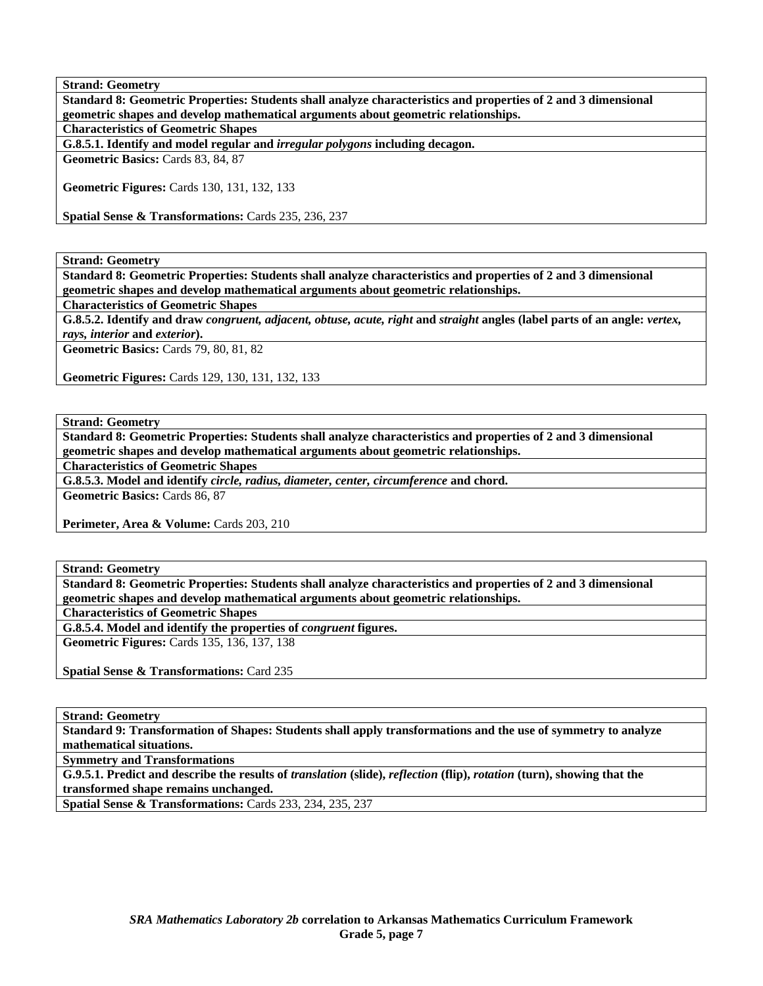**Strand: Geometry Standard 8: Geometric Properties: Students shall analyze characteristics and properties of 2 and 3 dimensional geometric shapes and develop mathematical arguments about geometric relationships. Characteristics of Geometric Shapes** 

**G.8.5.1. Identify and model regular and** *irregular polygons* **including decagon.** 

**Geometric Basics:** Cards 83, 84, 87

**Geometric Figures:** Cards 130, 131, 132, 133

**Spatial Sense & Transformations:** Cards 235, 236, 237

**Strand: Geometry** 

**Standard 8: Geometric Properties: Students shall analyze characteristics and properties of 2 and 3 dimensional geometric shapes and develop mathematical arguments about geometric relationships.** 

**Characteristics of Geometric Shapes** 

**G.8.5.2. Identify and draw** *congruent, adjacent, obtuse, acute, right* **and** *straight* **angles (label parts of an angle:** *vertex, rays, interior* **and** *exterior***).** 

**Geometric Basics:** Cards 79, 80, 81, 82

**Geometric Figures:** Cards 129, 130, 131, 132, 133

**Strand: Geometry** 

**Standard 8: Geometric Properties: Students shall analyze characteristics and properties of 2 and 3 dimensional geometric shapes and develop mathematical arguments about geometric relationships.** 

**Characteristics of Geometric Shapes** 

**G.8.5.3. Model and identify** *circle, radius, diameter, center, circumference* **and chord.** 

**Geometric Basics:** Cards 86, 87

Perimeter, Area & Volume: Cards 203, 210

**Strand: Geometry** 

**Standard 8: Geometric Properties: Students shall analyze characteristics and properties of 2 and 3 dimensional geometric shapes and develop mathematical arguments about geometric relationships.** 

**Characteristics of Geometric Shapes** 

**G.8.5.4. Model and identify the properties of** *congruent* **figures.** 

**Geometric Figures:** Cards 135, 136, 137, 138

**Spatial Sense & Transformations:** Card 235

**Strand: Geometry** 

**Standard 9: Transformation of Shapes: Students shall apply transformations and the use of symmetry to analyze mathematical situations.** 

**Symmetry and Transformations** 

**G.9.5.1. Predict and describe the results of** *translation* **(slide),** *reflection* **(flip),** *rotation* **(turn), showing that the transformed shape remains unchanged.** 

**Spatial Sense & Transformations:** Cards 233, 234, 235, 237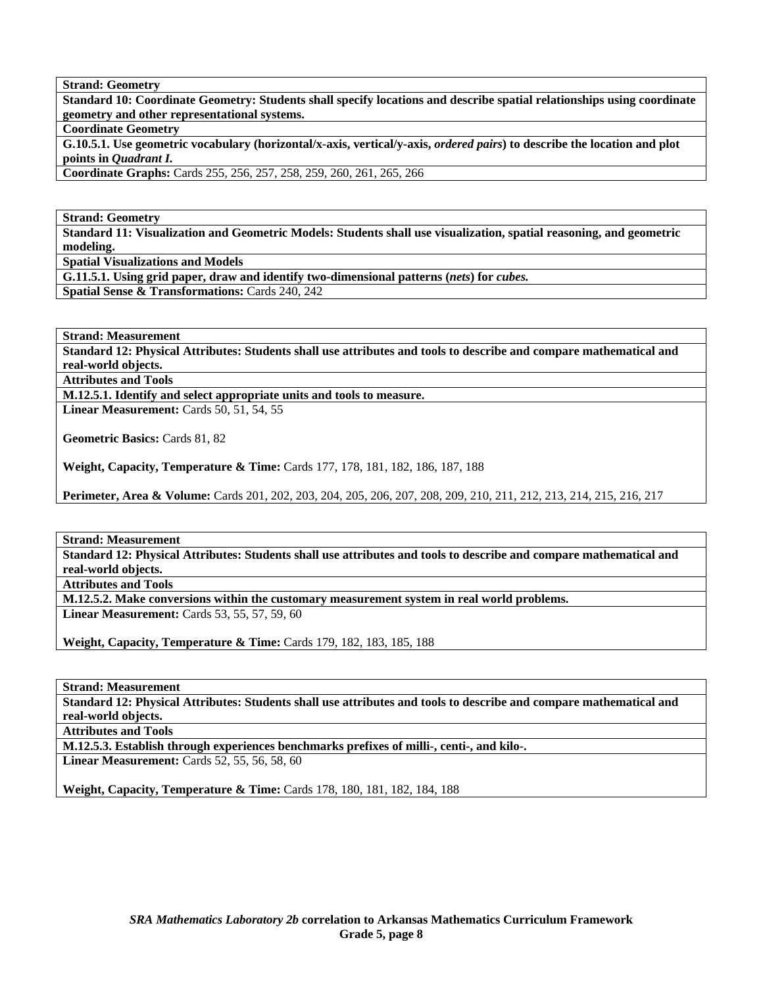**Strand: Geometry** 

**Standard 10: Coordinate Geometry: Students shall specify locations and describe spatial relationships using coordinate geometry and other representational systems.** 

**Coordinate Geometry** 

**G.10.5.1. Use geometric vocabulary (horizontal/x-axis, vertical/y-axis,** *ordered pairs***) to describe the location and plot points in** *Quadrant I.* 

**Coordinate Graphs:** Cards 255, 256, 257, 258, 259, 260, 261, 265, 266

**Strand: Geometry** 

**Standard 11: Visualization and Geometric Models: Students shall use visualization, spatial reasoning, and geometric modeling.** 

**Spatial Visualizations and Models** 

**G.11.5.1. Using grid paper, draw and identify two-dimensional patterns (***nets***) for** *cubes.* 

**Spatial Sense & Transformations:** Cards 240, 242

**Strand: Measurement** 

**Standard 12: Physical Attributes: Students shall use attributes and tools to describe and compare mathematical and real-world objects.** 

**Attributes and Tools** 

**M.12.5.1. Identify and select appropriate units and tools to measure.** 

**Linear Measurement: Cards 50, 51, 54, 55** 

**Geometric Basics:** Cards 81, 82

**Weight, Capacity, Temperature & Time:** Cards 177, 178, 181, 182, 186, 187, 188

**Perimeter, Area & Volume:** Cards 201, 202, 203, 204, 205, 206, 207, 208, 209, 210, 211, 212, 213, 214, 215, 216, 217

**Strand: Measurement** 

**Standard 12: Physical Attributes: Students shall use attributes and tools to describe and compare mathematical and real-world objects.** 

**Attributes and Tools** 

**M.12.5.2. Make conversions within the customary measurement system in real world problems.** 

**Linear Measurement:** Cards 53, 55, 57, 59, 60

**Weight, Capacity, Temperature & Time:** Cards 179, 182, 183, 185, 188

**Strand: Measurement** 

**Standard 12: Physical Attributes: Students shall use attributes and tools to describe and compare mathematical and real-world objects.** 

**Attributes and Tools** 

**M.12.5.3. Establish through experiences benchmarks prefixes of milli-, centi-, and kilo-.** 

**Linear Measurement:** Cards 52, 55, 56, 58, 60

**Weight, Capacity, Temperature & Time: Cards 178, 180, 181, 182, 184, 188**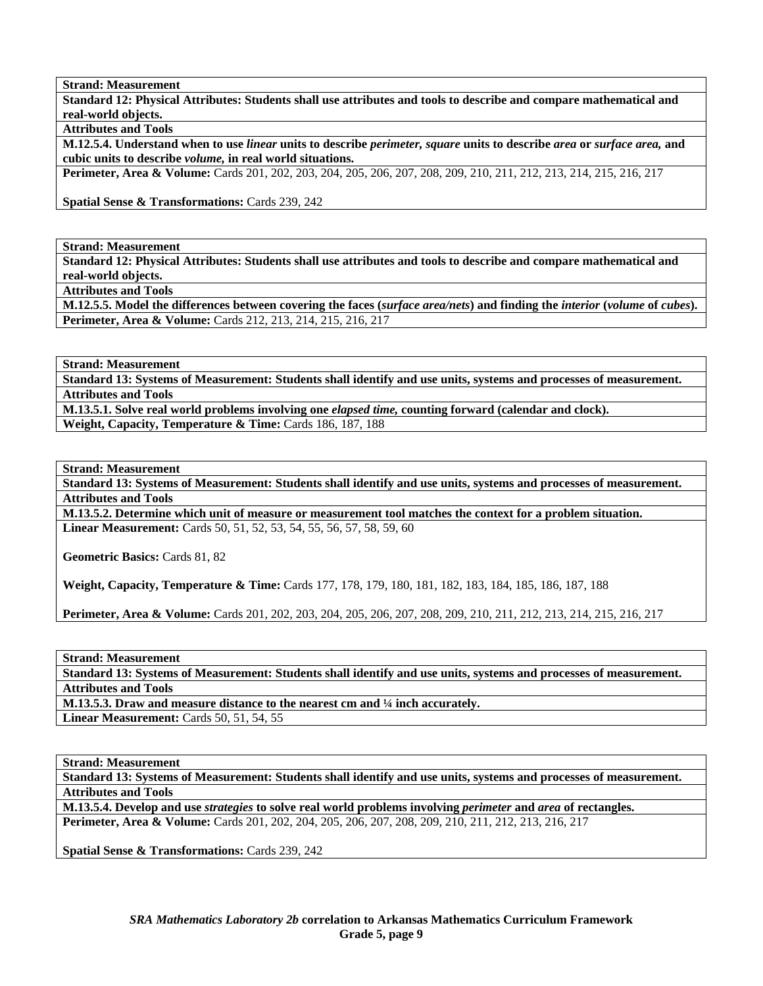**Strand: Measurement** 

**Standard 12: Physical Attributes: Students shall use attributes and tools to describe and compare mathematical and real-world objects.** 

**Attributes and Tools** 

**M.12.5.4. Understand when to use** *linear* **units to describe** *perimeter, square* **units to describe** *area* **or** *surface area,* **and cubic units to describe** *volume,* **in real world situations.** 

**Perimeter, Area & Volume:** Cards 201, 202, 203, 204, 205, 206, 207, 208, 209, 210, 211, 212, 213, 214, 215, 216, 217

**Spatial Sense & Transformations:** Cards 239, 242

**Strand: Measurement** 

**Standard 12: Physical Attributes: Students shall use attributes and tools to describe and compare mathematical and real-world objects.** 

**Attributes and Tools** 

**M.12.5.5. Model the differences between covering the faces (***surface area/nets***) and finding the** *interior* **(***volume* **of** *cubes***). Perimeter, Area & Volume:** Cards 212, 213, 214, 215, 216, 217

**Strand: Measurement** 

**Standard 13: Systems of Measurement: Students shall identify and use units, systems and processes of measurement. Attributes and Tools** 

**M.13.5.1. Solve real world problems involving one** *elapsed time,* **counting forward (calendar and clock).**  Weight, Capacity, Temperature & Time: Cards 186, 187, 188

**Strand: Measurement** 

**Standard 13: Systems of Measurement: Students shall identify and use units, systems and processes of measurement. Attributes and Tools** 

**M.13.5.2. Determine which unit of measure or measurement tool matches the context for a problem situation. Linear Measurement:** Cards 50, 51, 52, 53, 54, 55, 56, 57, 58, 59, 60

**Geometric Basics:** Cards 81, 82

**Weight, Capacity, Temperature & Time:** Cards 177, 178, 179, 180, 181, 182, 183, 184, 185, 186, 187, 188

**Perimeter, Area & Volume:** Cards 201, 202, 203, 204, 205, 206, 207, 208, 209, 210, 211, 212, 213, 214, 215, 216, 217

**Strand: Measurement** 

**Standard 13: Systems of Measurement: Students shall identify and use units, systems and processes of measurement. Attributes and Tools** 

**M.13.5.3. Draw and measure distance to the nearest cm and ¼ inch accurately.** 

**Linear Measurement: Cards 50, 51, 54, 55** 

**Strand: Measurement** 

**Standard 13: Systems of Measurement: Students shall identify and use units, systems and processes of measurement. Attributes and Tools** 

**M.13.5.4. Develop and use** *strategies* **to solve real world problems involving** *perimeter* **and** *area* **of rectangles. Perimeter, Area & Volume:** Cards 201, 202, 204, 205, 206, 207, 208, 209, 210, 211, 212, 213, 216, 217

**Spatial Sense & Transformations:** Cards 239, 242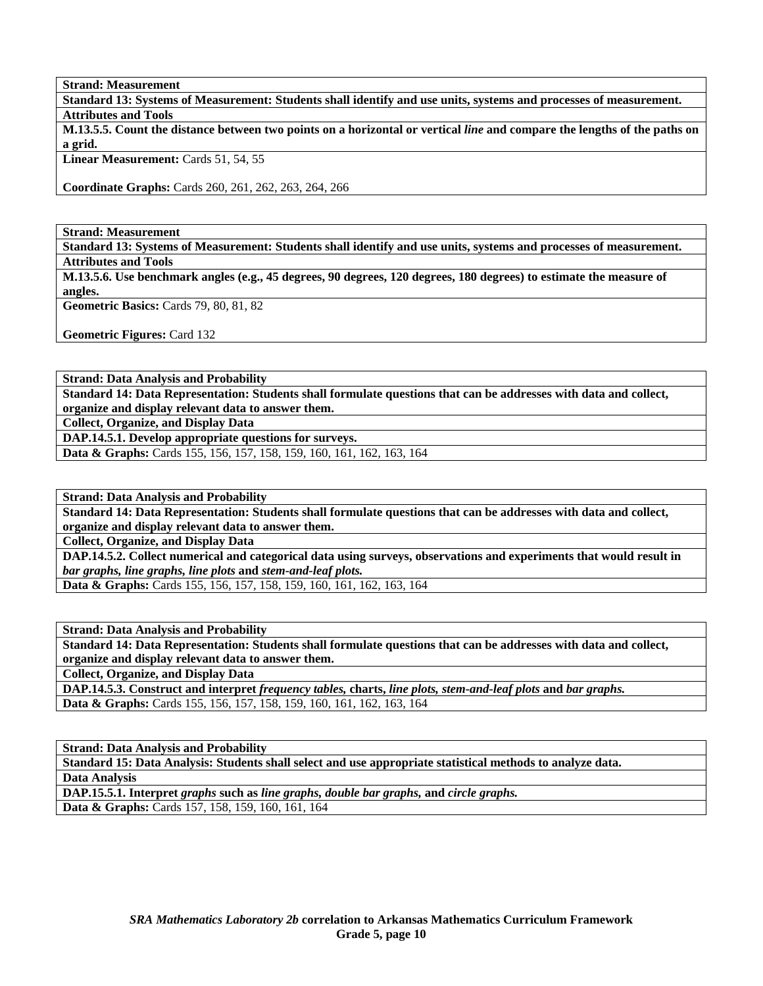**Strand: Measurement** 

**Standard 13: Systems of Measurement: Students shall identify and use units, systems and processes of measurement. Attributes and Tools** 

**M.13.5.5. Count the distance between two points on a horizontal or vertical** *line* **and compare the lengths of the paths on a grid.** 

Linear Measurement: Cards 51, 54, 55

**Coordinate Graphs:** Cards 260, 261, 262, 263, 264, 266

**Strand: Measurement** 

**Standard 13: Systems of Measurement: Students shall identify and use units, systems and processes of measurement. Attributes and Tools** 

**M.13.5.6. Use benchmark angles (e.g., 45 degrees, 90 degrees, 120 degrees, 180 degrees) to estimate the measure of angles.** 

**Geometric Basics:** Cards 79, 80, 81, 82

**Geometric Figures:** Card 132

**Strand: Data Analysis and Probability** 

**Standard 14: Data Representation: Students shall formulate questions that can be addresses with data and collect, organize and display relevant data to answer them.** 

**Collect, Organize, and Display Data** 

**DAP.14.5.1. Develop appropriate questions for surveys.** 

**Data & Graphs:** Cards 155, 156, 157, 158, 159, 160, 161, 162, 163, 164

**Strand: Data Analysis and Probability** 

**Standard 14: Data Representation: Students shall formulate questions that can be addresses with data and collect, organize and display relevant data to answer them.** 

**Collect, Organize, and Display Data** 

**DAP.14.5.2. Collect numerical and categorical data using surveys, observations and experiments that would result in**  *bar graphs, line graphs, line plots* **and** *stem-and-leaf plots.* 

**Data & Graphs:** Cards 155, 156, 157, 158, 159, 160, 161, 162, 163, 164

**Strand: Data Analysis and Probability** 

**Standard 14: Data Representation: Students shall formulate questions that can be addresses with data and collect, organize and display relevant data to answer them.** 

**Collect, Organize, and Display Data** 

**DAP.14.5.3. Construct and interpret** *frequency tables,* **charts,** *line plots, stem-and-leaf plots* **and** *bar graphs.*  **Data & Graphs:** Cards 155, 156, 157, 158, 159, 160, 161, 162, 163, 164

**Strand: Data Analysis and Probability** 

**Standard 15: Data Analysis: Students shall select and use appropriate statistical methods to analyze data.** 

**Data Analysis** 

**DAP.15.5.1. Interpret** *graphs* **such as** *line graphs, double bar graphs,* **and** *circle graphs.* 

**Data & Graphs:** Cards 157, 158, 159, 160, 161, 164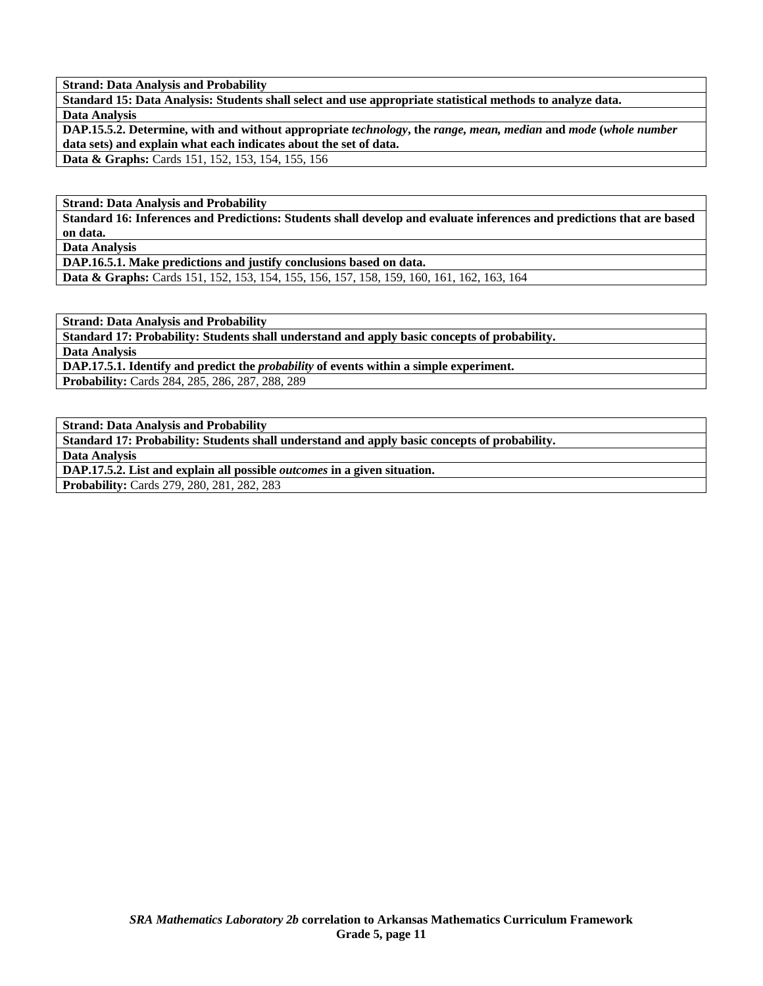**Strand: Data Analysis and Probability** 

**Standard 15: Data Analysis: Students shall select and use appropriate statistical methods to analyze data. Data Analysis** 

**DAP.15.5.2. Determine, with and without appropriate** *technology***, the** *range, mean, median* **and** *mode* **(***whole number*  **data sets) and explain what each indicates about the set of data.** 

**Data & Graphs:** Cards 151, 152, 153, 154, 155, 156

**Strand: Data Analysis and Probability** 

**Standard 16: Inferences and Predictions: Students shall develop and evaluate inferences and predictions that are based on data.** 

**Data Analysis** 

**DAP.16.5.1. Make predictions and justify conclusions based on data.**

**Data & Graphs:** Cards 151, 152, 153, 154, 155, 156, 157, 158, 159, 160, 161, 162, 163, 164

**Strand: Data Analysis and Probability** 

**Standard 17: Probability: Students shall understand and apply basic concepts of probability.** 

**Data Analysis** 

**DAP.17.5.1. Identify and predict the** *probability* **of events within a simple experiment.** 

**Probability:** Cards 284, 285, 286, 287, 288, 289

**Strand: Data Analysis and Probability** 

**Standard 17: Probability: Students shall understand and apply basic concepts of probability.** 

**Data Analysis** 

**DAP.17.5.2. List and explain all possible** *outcomes* **in a given situation.** 

**Probability:** Cards 279, 280, 281, 282, 283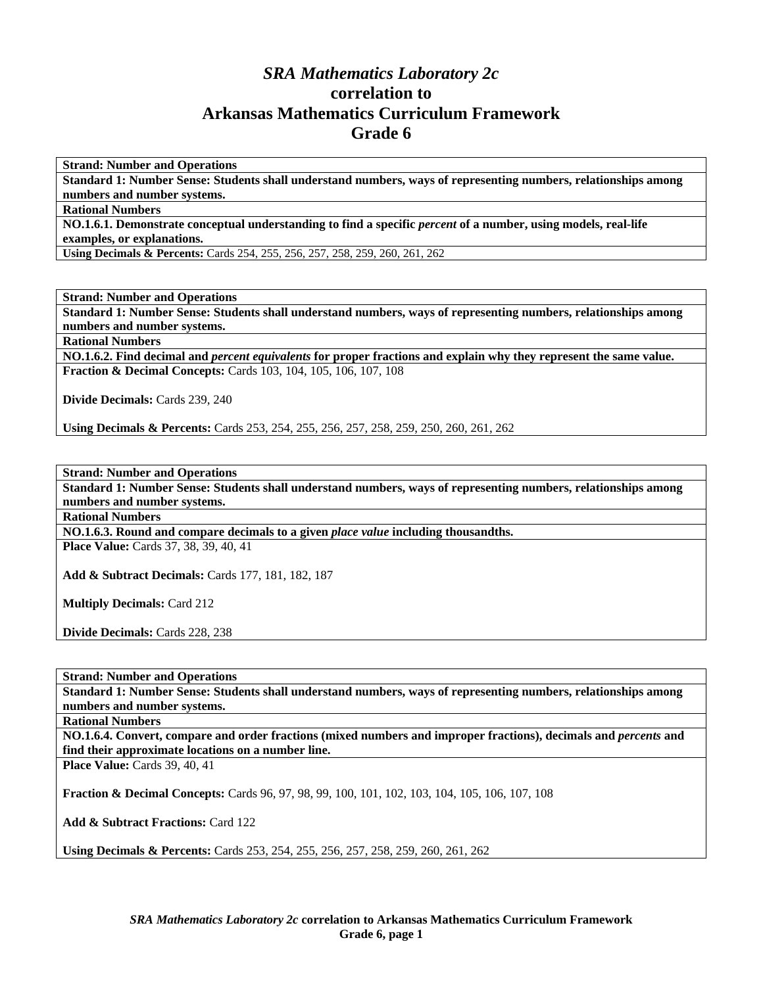# *SRA Mathematics Laboratory 2c*  **correlation to Arkansas Mathematics Curriculum Framework Grade 6**

**Strand: Number and Operations** 

**Standard 1: Number Sense: Students shall understand numbers, ways of representing numbers, relationships among numbers and number systems.** 

**Rational Numbers** 

**NO.1.6.1. Demonstrate conceptual understanding to find a specific** *percent* **of a number, using models, real-life examples, or explanations.** 

**Using Decimals & Percents:** Cards 254, 255, 256, 257, 258, 259, 260, 261, 262

**Strand: Number and Operations** 

**Standard 1: Number Sense: Students shall understand numbers, ways of representing numbers, relationships among numbers and number systems.** 

**Rational Numbers** 

**NO.1.6.2. Find decimal and** *percent equivalents* **for proper fractions and explain why they represent the same value. Fraction & Decimal Concepts:** Cards 103, 104, 105, 106, 107, 108

**Divide Decimals:** Cards 239, 240

**Using Decimals & Percents:** Cards 253, 254, 255, 256, 257, 258, 259, 250, 260, 261, 262

**Strand: Number and Operations** 

**Standard 1: Number Sense: Students shall understand numbers, ways of representing numbers, relationships among numbers and number systems.** 

**Rational Numbers** 

**NO.1.6.3. Round and compare decimals to a given** *place value* **including thousandths.** 

**Place Value:** Cards 37, 38, 39, 40, 41

**Add & Subtract Decimals:** Cards 177, 181, 182, 187

**Multiply Decimals:** Card 212

**Divide Decimals:** Cards 228, 238

**Strand: Number and Operations** 

**Standard 1: Number Sense: Students shall understand numbers, ways of representing numbers, relationships among numbers and number systems.** 

**Rational Numbers** 

**NO.1.6.4. Convert, compare and order fractions (mixed numbers and improper fractions), decimals and** *percents* **and find their approximate locations on a number line.** 

**Place Value: Cards 39, 40, 41** 

**Fraction & Decimal Concepts:** Cards 96, 97, 98, 99, 100, 101, 102, 103, 104, 105, 106, 107, 108

**Add & Subtract Fractions:** Card 122

**Using Decimals & Percents:** Cards 253, 254, 255, 256, 257, 258, 259, 260, 261, 262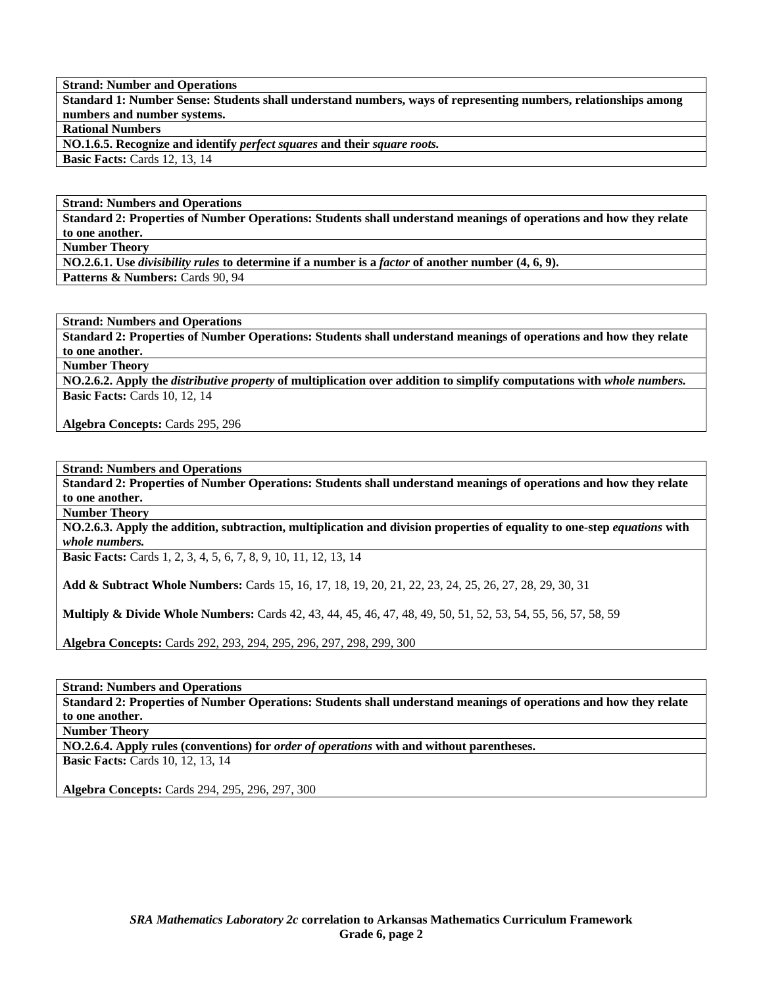**Standard 1: Number Sense: Students shall understand numbers, ways of representing numbers, relationships among numbers and number systems.** 

**Rational Numbers** 

**NO.1.6.5. Recognize and identify** *perfect squares* **and their** *square roots.* 

**Basic Facts:** Cards 12, 13, 14

**Strand: Numbers and Operations** 

**Standard 2: Properties of Number Operations: Students shall understand meanings of operations and how they relate to one another.** 

**Number Theory** 

**NO.2.6.1. Use** *divisibility rules* **to determine if a number is a** *factor* **of another number (4, 6, 9).** 

Patterns & Numbers: Cards 90, 94

**Strand: Numbers and Operations** 

**Standard 2: Properties of Number Operations: Students shall understand meanings of operations and how they relate to one another.** 

**Number Theory** 

**NO.2.6.2. Apply the** *distributive property* **of multiplication over addition to simplify computations with** *whole numbers.*  **Basic Facts: Cards 10, 12, 14** 

**Algebra Concepts:** Cards 295, 296

**Strand: Numbers and Operations** 

**Standard 2: Properties of Number Operations: Students shall understand meanings of operations and how they relate to one another.** 

**Number Theory** 

**NO.2.6.3. Apply the addition, subtraction, multiplication and division properties of equality to one-step** *equations* **with**  *whole numbers.* 

**Basic Facts:** Cards 1, 2, 3, 4, 5, 6, 7, 8, 9, 10, 11, 12, 13, 14

**Add & Subtract Whole Numbers:** Cards 15, 16, 17, 18, 19, 20, 21, 22, 23, 24, 25, 26, 27, 28, 29, 30, 31

**Multiply & Divide Whole Numbers:** Cards 42, 43, 44, 45, 46, 47, 48, 49, 50, 51, 52, 53, 54, 55, 56, 57, 58, 59

**Algebra Concepts:** Cards 292, 293, 294, 295, 296, 297, 298, 299, 300

**Strand: Numbers and Operations** 

**Standard 2: Properties of Number Operations: Students shall understand meanings of operations and how they relate to one another.** 

**Number Theory** 

**NO.2.6.4. Apply rules (conventions) for** *order of operations* **with and without parentheses.** 

**Basic Facts: Cards 10, 12, 13, 14** 

**Algebra Concepts:** Cards 294, 295, 296, 297, 300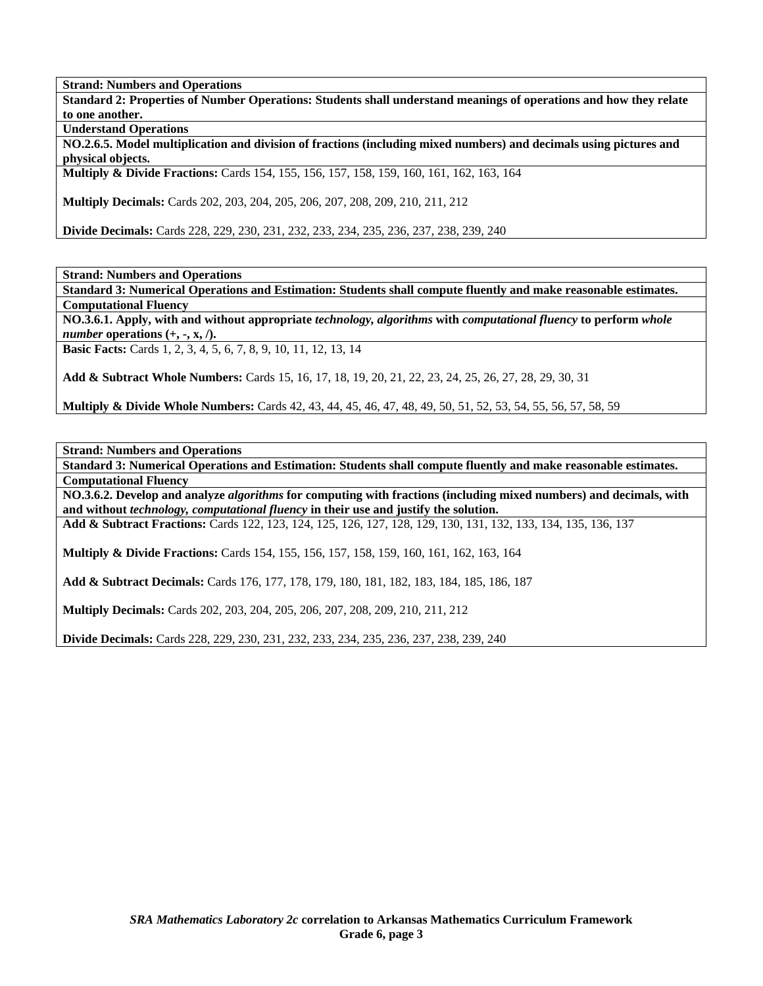**Standard 2: Properties of Number Operations: Students shall understand meanings of operations and how they relate to one another.** 

**Understand Operations** 

**NO.2.6.5. Model multiplication and division of fractions (including mixed numbers) and decimals using pictures and physical objects.** 

**Multiply & Divide Fractions:** Cards 154, 155, 156, 157, 158, 159, 160, 161, 162, 163, 164

**Multiply Decimals:** Cards 202, 203, 204, 205, 206, 207, 208, 209, 210, 211, 212

**Divide Decimals:** Cards 228, 229, 230, 231, 232, 233, 234, 235, 236, 237, 238, 239, 240

**Strand: Numbers and Operations** 

**Standard 3: Numerical Operations and Estimation: Students shall compute fluently and make reasonable estimates. Computational Fluency** 

**NO.3.6.1. Apply, with and without appropriate** *technology, algorithms* **with** *computational fluency* **to perform** *whole number* operations  $(+, -, x, /).$ 

**Basic Facts:** Cards 1, 2, 3, 4, 5, 6, 7, 8, 9, 10, 11, 12, 13, 14

**Add & Subtract Whole Numbers:** Cards 15, 16, 17, 18, 19, 20, 21, 22, 23, 24, 25, 26, 27, 28, 29, 30, 31

**Multiply & Divide Whole Numbers:** Cards 42, 43, 44, 45, 46, 47, 48, 49, 50, 51, 52, 53, 54, 55, 56, 57, 58, 59

**Strand: Numbers and Operations** 

**Standard 3: Numerical Operations and Estimation: Students shall compute fluently and make reasonable estimates. Computational Fluency** 

**NO.3.6.2. Develop and analyze** *algorithms* **for computing with fractions (including mixed numbers) and decimals, with and without** *technology, computational fluency* **in their use and justify the solution.** 

**Add & Subtract Fractions:** Cards 122, 123, 124, 125, 126, 127, 128, 129, 130, 131, 132, 133, 134, 135, 136, 137

**Multiply & Divide Fractions:** Cards 154, 155, 156, 157, 158, 159, 160, 161, 162, 163, 164

**Add & Subtract Decimals:** Cards 176, 177, 178, 179, 180, 181, 182, 183, 184, 185, 186, 187

**Multiply Decimals:** Cards 202, 203, 204, 205, 206, 207, 208, 209, 210, 211, 212

**Divide Decimals:** Cards 228, 229, 230, 231, 232, 233, 234, 235, 236, 237, 238, 239, 240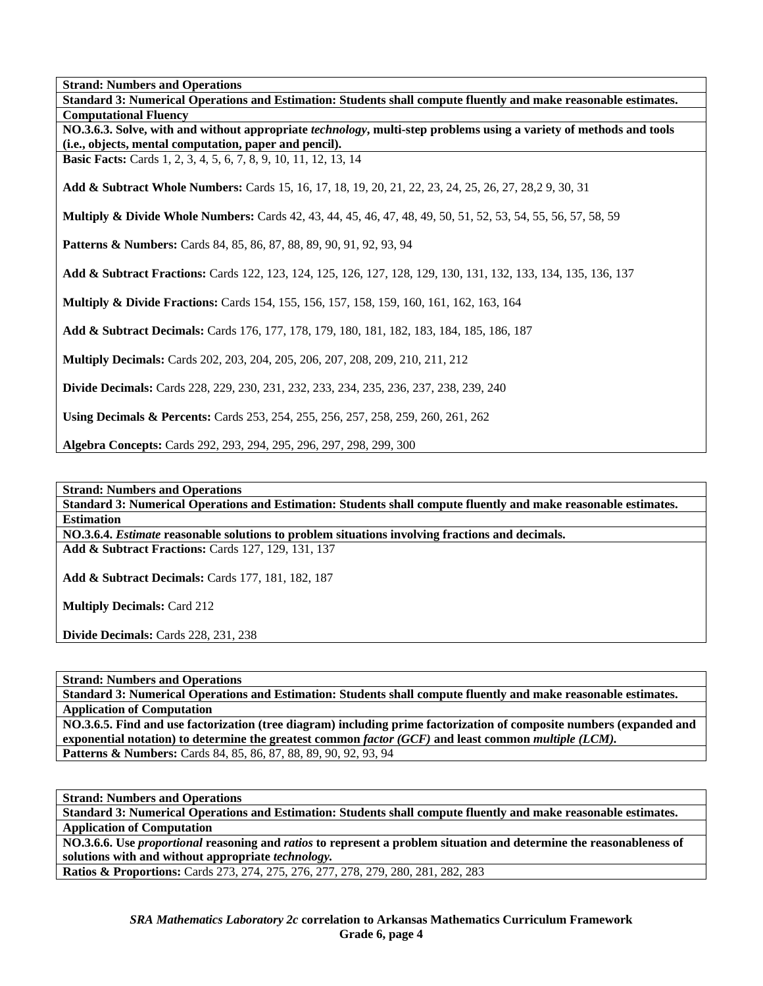**Standard 3: Numerical Operations and Estimation: Students shall compute fluently and make reasonable estimates. Computational Fluency NO.3.6.3. Solve, with and without appropriate** *technology***, multi-step problems using a variety of methods and tools (i.e., objects, mental computation, paper and pencil). Basic Facts:** Cards 1, 2, 3, 4, 5, 6, 7, 8, 9, 10, 11, 12, 13, 14 **Add & Subtract Whole Numbers:** Cards 15, 16, 17, 18, 19, 20, 21, 22, 23, 24, 25, 26, 27, 28,2 9, 30, 31 **Multiply & Divide Whole Numbers:** Cards 42, 43, 44, 45, 46, 47, 48, 49, 50, 51, 52, 53, 54, 55, 56, 57, 58, 59 Patterns & Numbers: Cards 84, 85, 86, 87, 88, 89, 90, 91, 92, 93, 94 **Add & Subtract Fractions:** Cards 122, 123, 124, 125, 126, 127, 128, 129, 130, 131, 132, 133, 134, 135, 136, 137 **Multiply & Divide Fractions:** Cards 154, 155, 156, 157, 158, 159, 160, 161, 162, 163, 164 **Add & Subtract Decimals:** Cards 176, 177, 178, 179, 180, 181, 182, 183, 184, 185, 186, 187 **Multiply Decimals:** Cards 202, 203, 204, 205, 206, 207, 208, 209, 210, 211, 212 **Divide Decimals:** Cards 228, 229, 230, 231, 232, 233, 234, 235, 236, 237, 238, 239, 240 **Using Decimals & Percents:** Cards 253, 254, 255, 256, 257, 258, 259, 260, 261, 262 **Algebra Concepts:** Cards 292, 293, 294, 295, 296, 297, 298, 299, 300

**Strand: Numbers and Operations** 

**Standard 3: Numerical Operations and Estimation: Students shall compute fluently and make reasonable estimates. Estimation** 

**NO.3.6.4.** *Estimate* **reasonable solutions to problem situations involving fractions and decimals. Add & Subtract Fractions:** Cards 127, 129, 131, 137

**Add & Subtract Decimals:** Cards 177, 181, 182, 187

**Multiply Decimals:** Card 212

**Divide Decimals:** Cards 228, 231, 238

**Strand: Numbers and Operations** 

**Standard 3: Numerical Operations and Estimation: Students shall compute fluently and make reasonable estimates. Application of Computation** 

**NO.3.6.5. Find and use factorization (tree diagram) including prime factorization of composite numbers (expanded and exponential notation) to determine the greatest common** *factor (GCF)* **and least common** *multiple (LCM).*  Patterns & Numbers: Cards 84, 85, 86, 87, 88, 89, 90, 92, 93, 94

**Strand: Numbers and Operations** 

**Standard 3: Numerical Operations and Estimation: Students shall compute fluently and make reasonable estimates. Application of Computation** 

**NO.3.6.6. Use** *proportional* **reasoning and** *ratios* **to represent a problem situation and determine the reasonableness of solutions with and without appropriate** *technology.* 

**Ratios & Proportions:** Cards 273, 274, 275, 276, 277, 278, 279, 280, 281, 282, 283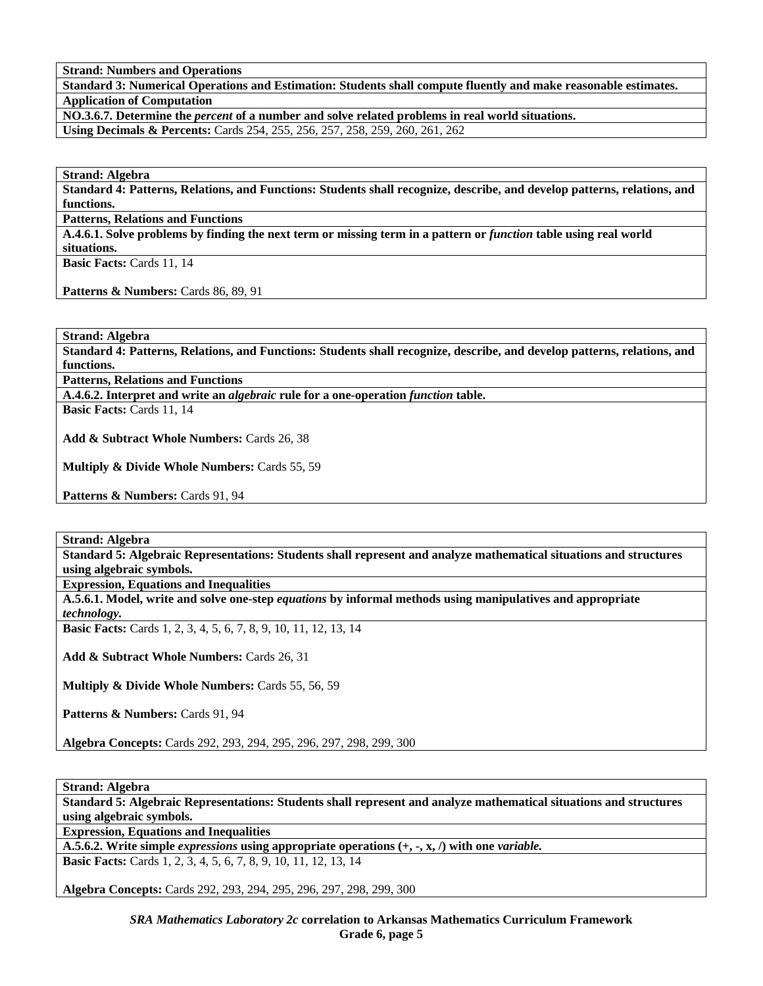**Standard 3: Numerical Operations and Estimation: Students shall compute fluently and make reasonable estimates. Application of Computation** 

**NO.3.6.7. Determine the** *percent* **of a number and solve related problems in real world situations.** 

**Using Decimals & Percents:** Cards 254, 255, 256, 257, 258, 259, 260, 261, 262

**Strand: Algebra** 

**Standard 4: Patterns, Relations, and Functions: Students shall recognize, describe, and develop patterns, relations, and functions.** 

**Patterns, Relations and Functions** 

**A.4.6.1. Solve problems by finding the next term or missing term in a pattern or** *function* **table using real world situations.** 

**Basic Facts:** Cards 11, 14

**Patterns & Numbers:** Cards 86, 89, 91

**Strand: Algebra** 

**Standard 4: Patterns, Relations, and Functions: Students shall recognize, describe, and develop patterns, relations, and functions.** 

**Patterns, Relations and Functions** 

**A.4.6.2. Interpret and write an** *algebraic* **rule for a one-operation** *function* **table.** 

**Basic Facts:** Cards 11, 14

**Add & Subtract Whole Numbers:** Cards 26, 38

**Multiply & Divide Whole Numbers:** Cards 55, 59

Patterns & Numbers: Cards 91, 94

**Strand: Algebra** 

**Standard 5: Algebraic Representations: Students shall represent and analyze mathematical situations and structures using algebraic symbols.** 

**Expression, Equations and Inequalities** 

**A.5.6.1. Model, write and solve one-step** *equations* **by informal methods using manipulatives and appropriate** 

*technology.* 

**Basic Facts:** Cards 1, 2, 3, 4, 5, 6, 7, 8, 9, 10, 11, 12, 13, 14

**Add & Subtract Whole Numbers:** Cards 26, 31

**Multiply & Divide Whole Numbers:** Cards 55, 56, 59

Patterns & Numbers: Cards 91, 94

**Algebra Concepts:** Cards 292, 293, 294, 295, 296, 297, 298, 299, 300

**Strand: Algebra** 

**Standard 5: Algebraic Representations: Students shall represent and analyze mathematical situations and structures using algebraic symbols.** 

**Expression, Equations and Inequalities** 

**A.5.6.2. Write simple** *expressions* **using appropriate operations (+, -, x, /) with one** *variable.*

**Basic Facts:** Cards 1, 2, 3, 4, 5, 6, 7, 8, 9, 10, 11, 12, 13, 14

**Algebra Concepts:** Cards 292, 293, 294, 295, 296, 297, 298, 299, 300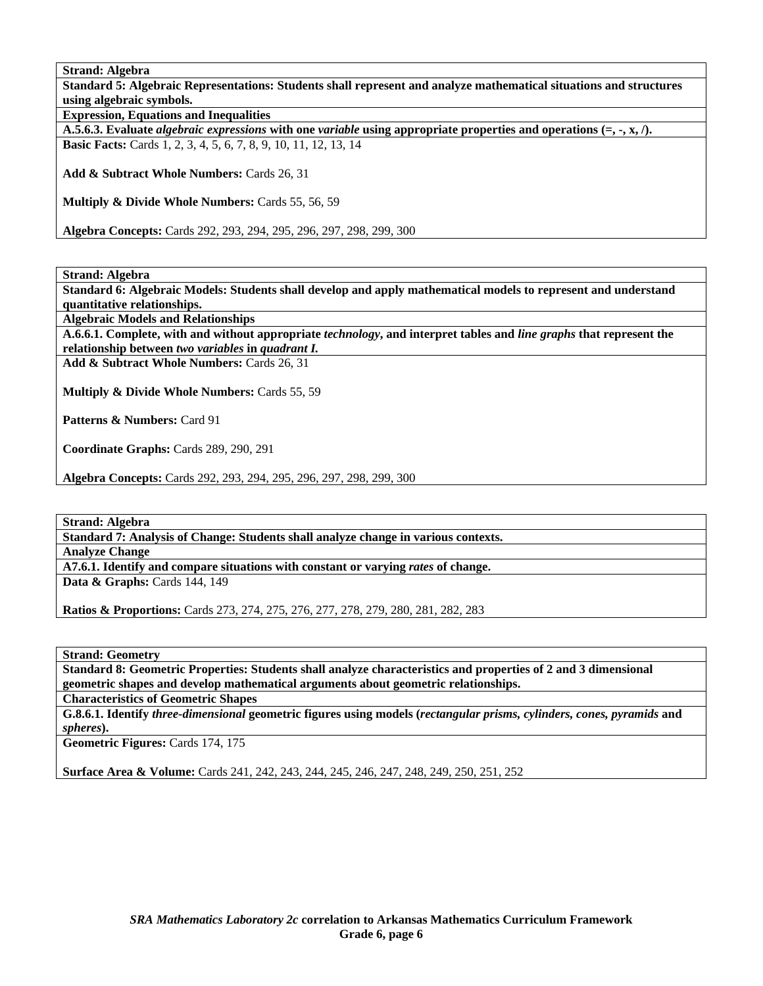**Strand: Algebra** 

**Standard 5: Algebraic Representations: Students shall represent and analyze mathematical situations and structures using algebraic symbols. Expression, Equations and Inequalities A.5.6.3. Evaluate** *algebraic expressions* **with one** *variable* **using appropriate properties and operations (=, -, x, /). Basic Facts:** Cards 1, 2, 3, 4, 5, 6, 7, 8, 9, 10, 11, 12, 13, 14

**Add & Subtract Whole Numbers:** Cards 26, 31

**Multiply & Divide Whole Numbers:** Cards 55, 56, 59

**Algebra Concepts:** Cards 292, 293, 294, 295, 296, 297, 298, 299, 300

**Strand: Algebra** 

**Standard 6: Algebraic Models: Students shall develop and apply mathematical models to represent and understand quantitative relationships.** 

**Algebraic Models and Relationships** 

**A.6.6.1. Complete, with and without appropriate** *technology***, and interpret tables and** *line graphs* **that represent the** 

**relationship between** *two variables* **in** *quadrant I.*  **Add & Subtract Whole Numbers:** Cards 26, 31

**Multiply & Divide Whole Numbers:** Cards 55, 59

Patterns & Numbers: Card 91

**Coordinate Graphs:** Cards 289, 290, 291

**Algebra Concepts:** Cards 292, 293, 294, 295, 296, 297, 298, 299, 300

**Strand: Algebra** 

**Standard 7: Analysis of Change: Students shall analyze change in various contexts.** 

**Analyze Change** 

**A7.6.1. Identify and compare situations with constant or varying** *rates* **of change. Data & Graphs: Cards 144, 149** 

**Ratios & Proportions:** Cards 273, 274, 275, 276, 277, 278, 279, 280, 281, 282, 283

**Strand: Geometry** 

**Standard 8: Geometric Properties: Students shall analyze characteristics and properties of 2 and 3 dimensional geometric shapes and develop mathematical arguments about geometric relationships.** 

**Characteristics of Geometric Shapes** 

**G.8.6.1. Identify** *three-dimensional* **geometric figures using models (***rectangular prisms, cylinders, cones, pyramids* **and**  *spheres***).** 

**Geometric Figures:** Cards 174, 175

**Surface Area & Volume:** Cards 241, 242, 243, 244, 245, 246, 247, 248, 249, 250, 251, 252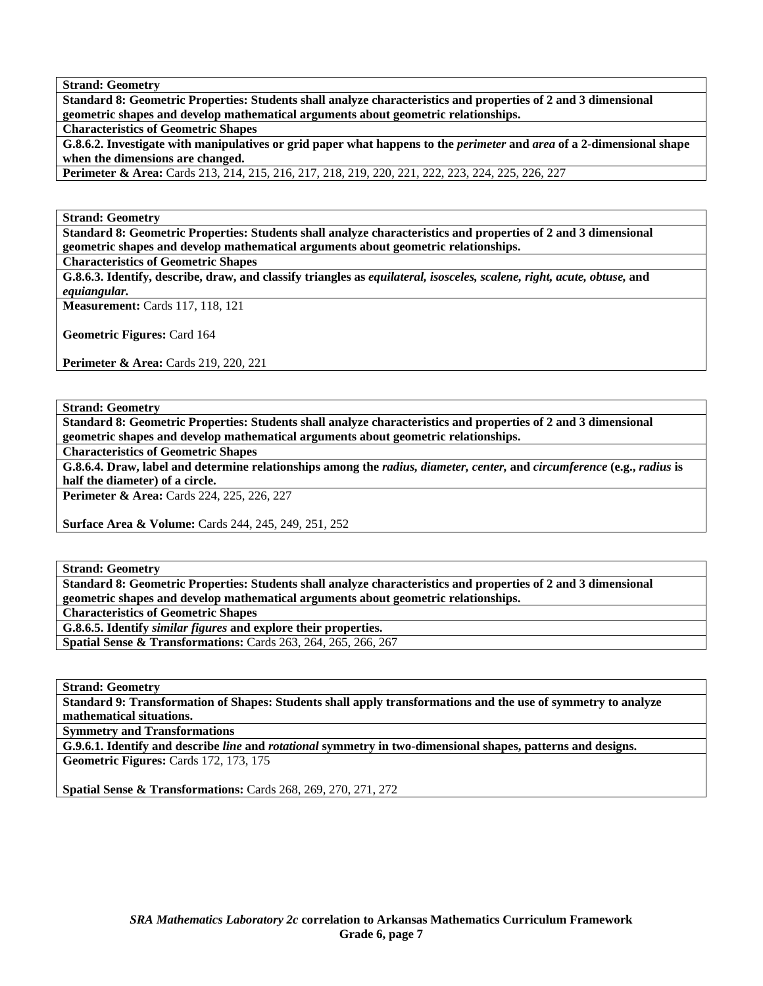**Strand: Geometry** 

**Standard 8: Geometric Properties: Students shall analyze characteristics and properties of 2 and 3 dimensional geometric shapes and develop mathematical arguments about geometric relationships.** 

**Characteristics of Geometric Shapes** 

**G.8.6.2. Investigate with manipulatives or grid paper what happens to the** *perimeter* **and** *area* **of a 2-dimensional shape when the dimensions are changed.** 

**Perimeter & Area:** Cards 213, 214, 215, 216, 217, 218, 219, 220, 221, 222, 223, 224, 225, 226, 227

**Strand: Geometry** 

**Standard 8: Geometric Properties: Students shall analyze characteristics and properties of 2 and 3 dimensional geometric shapes and develop mathematical arguments about geometric relationships.** 

**Characteristics of Geometric Shapes** 

**G.8.6.3. Identify, describe, draw, and classify triangles as** *equilateral, isosceles, scalene, right, acute, obtuse,* **and**  *equiangular.* 

**Measurement:** Cards 117, 118, 121

**Geometric Figures:** Card 164

**Perimeter & Area:** Cards 219, 220, 221

**Strand: Geometry** 

**Standard 8: Geometric Properties: Students shall analyze characteristics and properties of 2 and 3 dimensional geometric shapes and develop mathematical arguments about geometric relationships.** 

**Characteristics of Geometric Shapes** 

**G.8.6.4. Draw, label and determine relationships among the** *radius, diameter, center,* **and** *circumference* **(e.g.,** *radius* **is half the diameter) of a circle.** 

**Perimeter & Area:** Cards 224, 225, 226, 227

**Surface Area & Volume:** Cards 244, 245, 249, 251, 252

**Strand: Geometry** 

**Standard 8: Geometric Properties: Students shall analyze characteristics and properties of 2 and 3 dimensional geometric shapes and develop mathematical arguments about geometric relationships.** 

**Characteristics of Geometric Shapes** 

**G.8.6.5. Identify** *similar figures* **and explore their properties.** 

**Spatial Sense & Transformations:** Cards 263, 264, 265, 266, 267

**Strand: Geometry** 

**Standard 9: Transformation of Shapes: Students shall apply transformations and the use of symmetry to analyze mathematical situations.** 

**Symmetry and Transformations** 

**G.9.6.1. Identify and describe** *line* **and** *rotational* **symmetry in two-dimensional shapes, patterns and designs. Geometric Figures:** Cards 172, 173, 175

**Spatial Sense & Transformations:** Cards 268, 269, 270, 271, 272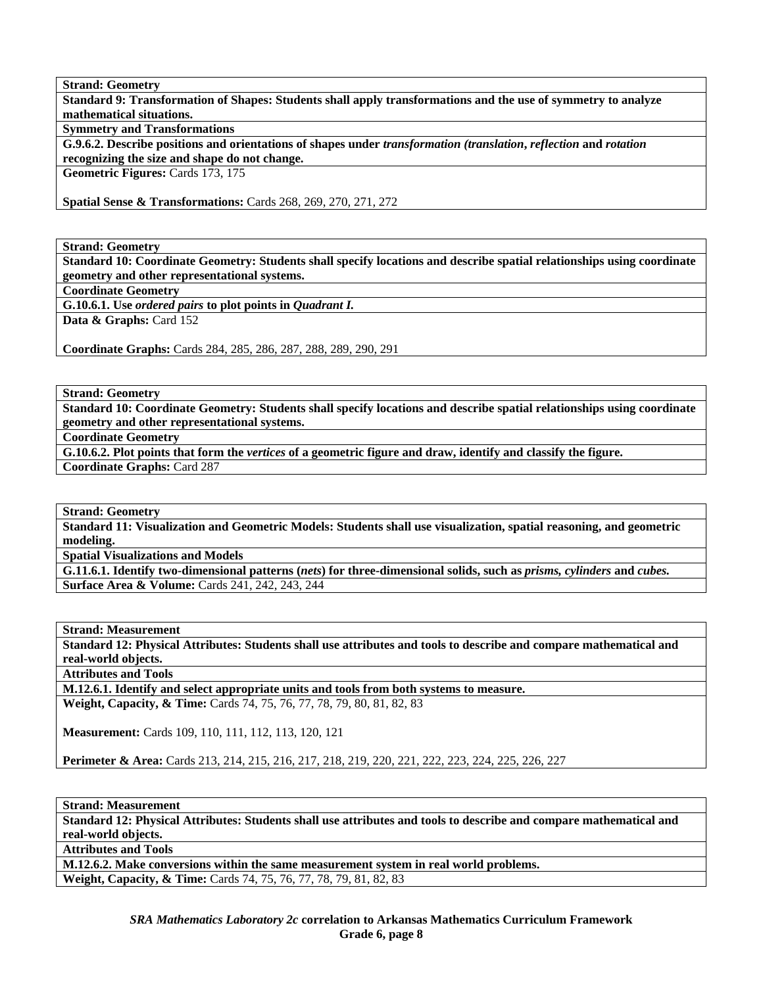**Strand: Geometry Standard 9: Transformation of Shapes: Students shall apply transformations and the use of symmetry to analyze mathematical situations.** 

**Symmetry and Transformations** 

**G.9.6.2. Describe positions and orientations of shapes under** *transformation (translation***,** *reflection* **and** *rotation*  **recognizing the size and shape do not change.** 

**Geometric Figures:** Cards 173, 175

**Spatial Sense & Transformations:** Cards 268, 269, 270, 271, 272

**Strand: Geometry** 

**Standard 10: Coordinate Geometry: Students shall specify locations and describe spatial relationships using coordinate geometry and other representational systems.** 

**Coordinate Geometry** 

**G.10.6.1. Use** *ordered pairs* **to plot points in** *Quadrant I.*  Data & Graphs: Card 152

**Coordinate Graphs:** Cards 284, 285, 286, 287, 288, 289, 290, 291

**Strand: Geometry** 

**Standard 10: Coordinate Geometry: Students shall specify locations and describe spatial relationships using coordinate geometry and other representational systems.** 

**Coordinate Geometry** 

**G.10.6.2. Plot points that form the** *vertices* **of a geometric figure and draw, identify and classify the figure. Coordinate Graphs:** Card 287

**Strand: Geometry** 

**Standard 11: Visualization and Geometric Models: Students shall use visualization, spatial reasoning, and geometric modeling.** 

**Spatial Visualizations and Models** 

**G.11.6.1. Identify two-dimensional patterns (***nets***) for three-dimensional solids, such as** *prisms, cylinders* **and** *cubes.*  **Surface Area & Volume:** Cards 241, 242, 243, 244

**Strand: Measurement** 

**Standard 12: Physical Attributes: Students shall use attributes and tools to describe and compare mathematical and real-world objects.** 

**Attributes and Tools** 

**M.12.6.1. Identify and select appropriate units and tools from both systems to measure. Weight, Capacity, & Time:** Cards 74, 75, 76, 77, 78, 79, 80, 81, 82, 83

**Measurement:** Cards 109, 110, 111, 112, 113, 120, 121

**Perimeter & Area:** Cards 213, 214, 215, 216, 217, 218, 219, 220, 221, 222, 223, 224, 225, 226, 227

**Strand: Measurement** 

**Standard 12: Physical Attributes: Students shall use attributes and tools to describe and compare mathematical and real-world objects.** 

**Attributes and Tools** 

**M.12.6.2. Make conversions within the same measurement system in real world problems.** 

**Weight, Capacity, & Time:** Cards 74, 75, 76, 77, 78, 79, 81, 82, 83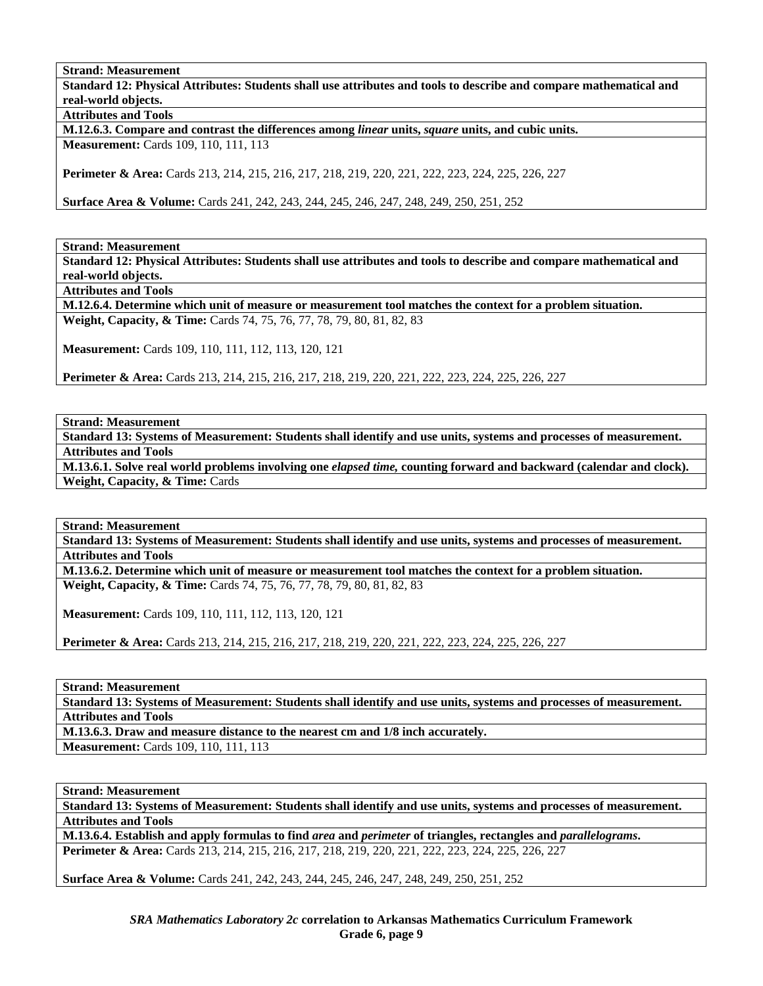**Strand: Measurement** 

**Standard 12: Physical Attributes: Students shall use attributes and tools to describe and compare mathematical and real-world objects.** 

**Attributes and Tools** 

**M.12.6.3. Compare and contrast the differences among** *linear* **units,** *square* **units, and cubic units. Measurement:** Cards 109, 110, 111, 113

**Perimeter & Area:** Cards 213, 214, 215, 216, 217, 218, 219, 220, 221, 222, 223, 224, 225, 226, 227

**Surface Area & Volume:** Cards 241, 242, 243, 244, 245, 246, 247, 248, 249, 250, 251, 252

**Strand: Measurement** 

**Standard 12: Physical Attributes: Students shall use attributes and tools to describe and compare mathematical and real-world objects.** 

**Attributes and Tools** 

**M.12.6.4. Determine which unit of measure or measurement tool matches the context for a problem situation. Weight, Capacity, & Time:** Cards 74, 75, 76, 77, 78, 79, 80, 81, 82, 83

**Measurement:** Cards 109, 110, 111, 112, 113, 120, 121

**Perimeter & Area:** Cards 213, 214, 215, 216, 217, 218, 219, 220, 221, 222, 223, 224, 225, 226, 227

**Strand: Measurement** 

**Standard 13: Systems of Measurement: Students shall identify and use units, systems and processes of measurement. Attributes and Tools** 

**M.13.6.1. Solve real world problems involving one** *elapsed time,* **counting forward and backward (calendar and clock). Weight, Capacity, & Time:** Cards

**Strand: Measurement** 

**Standard 13: Systems of Measurement: Students shall identify and use units, systems and processes of measurement. Attributes and Tools** 

**M.13.6.2. Determine which unit of measure or measurement tool matches the context for a problem situation. Weight, Capacity, & Time:** Cards 74, 75, 76, 77, 78, 79, 80, 81, 82, 83

**Measurement:** Cards 109, 110, 111, 112, 113, 120, 121

**Perimeter & Area:** Cards 213, 214, 215, 216, 217, 218, 219, 220, 221, 222, 223, 224, 225, 226, 227

**Strand: Measurement** 

**Standard 13: Systems of Measurement: Students shall identify and use units, systems and processes of measurement. Attributes and Tools** 

**M.13.6.3. Draw and measure distance to the nearest cm and 1/8 inch accurately. Measurement:** Cards 109, 110, 111, 113

**Strand: Measurement** 

**Standard 13: Systems of Measurement: Students shall identify and use units, systems and processes of measurement. Attributes and Tools** 

**M.13.6.4. Establish and apply formulas to find** *area* **and** *perimeter* **of triangles, rectangles and** *parallelograms***. Perimeter & Area:** Cards 213, 214, 215, 216, 217, 218, 219, 220, 221, 222, 223, 224, 225, 226, 227

**Surface Area & Volume:** Cards 241, 242, 243, 244, 245, 246, 247, 248, 249, 250, 251, 252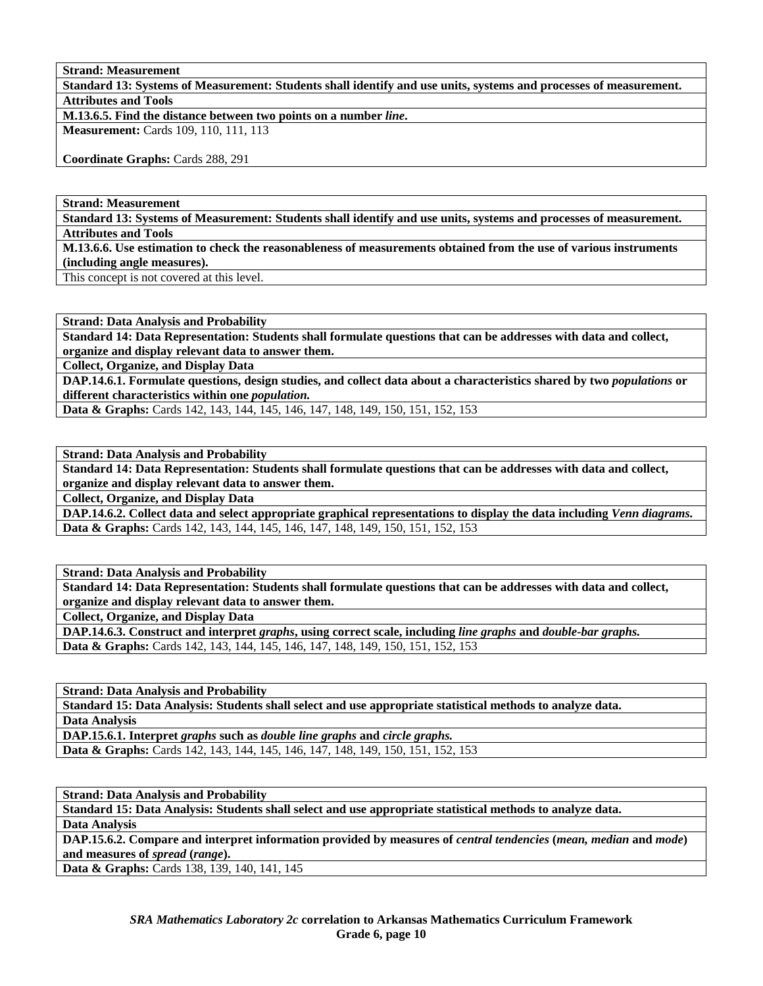**Strand: Measurement** 

**Standard 13: Systems of Measurement: Students shall identify and use units, systems and processes of measurement. Attributes and Tools** 

**M.13.6.5. Find the distance between two points on a number** *line***.** 

**Measurement:** Cards 109, 110, 111, 113

**Coordinate Graphs:** Cards 288, 291

**Strand: Measurement** 

**Standard 13: Systems of Measurement: Students shall identify and use units, systems and processes of measurement.** 

**Attributes and Tools** 

**M.13.6.6. Use estimation to check the reasonableness of measurements obtained from the use of various instruments (including angle measures).** 

This concept is not covered at this level.

**Strand: Data Analysis and Probability** 

**Standard 14: Data Representation: Students shall formulate questions that can be addresses with data and collect, organize and display relevant data to answer them.** 

**Collect, Organize, and Display Data** 

**DAP.14.6.1. Formulate questions, design studies, and collect data about a characteristics shared by two** *populations* **or different characteristics within one** *population.*

**Data & Graphs:** Cards 142, 143, 144, 145, 146, 147, 148, 149, 150, 151, 152, 153

**Strand: Data Analysis and Probability** 

**Standard 14: Data Representation: Students shall formulate questions that can be addresses with data and collect, organize and display relevant data to answer them.** 

**Collect, Organize, and Display Data** 

**DAP.14.6.2. Collect data and select appropriate graphical representations to display the data including** *Venn diagrams.*  **Data & Graphs:** Cards 142, 143, 144, 145, 146, 147, 148, 149, 150, 151, 152, 153

**Strand: Data Analysis and Probability** 

**Standard 14: Data Representation: Students shall formulate questions that can be addresses with data and collect, organize and display relevant data to answer them.** 

**Collect, Organize, and Display Data** 

**DAP.14.6.3. Construct and interpret** *graphs***, using correct scale, including** *line graphs* **and** *double-bar graphs.*  **Data & Graphs:** Cards 142, 143, 144, 145, 146, 147, 148, 149, 150, 151, 152, 153

**Strand: Data Analysis and Probability** 

**Standard 15: Data Analysis: Students shall select and use appropriate statistical methods to analyze data. Data Analysis** 

**DAP.15.6.1. Interpret** *graphs* **such as** *double line graphs* **and** *circle graphs.*  **Data & Graphs:** Cards 142, 143, 144, 145, 146, 147, 148, 149, 150, 151, 152, 153

**Strand: Data Analysis and Probability** 

**Standard 15: Data Analysis: Students shall select and use appropriate statistical methods to analyze data.** 

**Data Analysis** 

**DAP.15.6.2.** Compare and interpret information provided by measures of *central tendencies (mean, median and mode)* **and measures of** *spread* **(***range***).** 

**Data & Graphs:** Cards 138, 139, 140, 141, 145